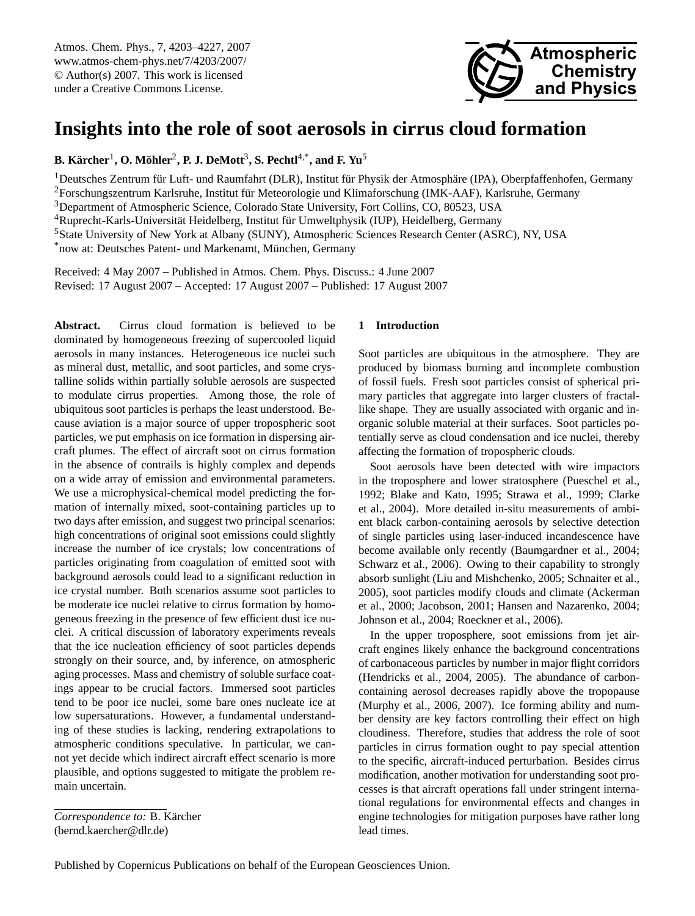<span id="page-0-0"></span>Atmos. Chem. Phys., 7, 4203–4227, 2007 www.atmos-chem-phys.net/7/4203/2007/ © Author(s) 2007. This work is licensed under a Creative Commons License.



# **Insights into the role of soot aerosols in cirrus cloud formation**

# ${\bf B.}$  Kärcher<sup>1</sup>, O. Möhler<sup>2</sup>, P. J. DeMott<sup>3</sup>, S. Pechtl<sup>4,\*</sup>, and F. Yu<sup>5</sup>

 $1$ Deutsches Zentrum für Luft- und Raumfahrt (DLR), Institut für Physik der Atmosphäre (IPA), Oberpfaffenhofen, Germany <sup>2</sup>Forschungszentrum Karlsruhe, Institut fur Meteorologie und Klimaforschung (IMK-AAF), Karlsruhe, Germany ¨

<sup>3</sup>Department of Atmospheric Science, Colorado State University, Fort Collins, CO, 80523, USA

<sup>4</sup>Ruprecht-Karls-Universität Heidelberg, Institut für Umweltphysik (IUP), Heidelberg, Germany

<sup>5</sup>State University of New York at Albany (SUNY), Atmospheric Sciences Research Center (ASRC), NY, USA

\*now at: Deutsches Patent- und Markenamt, München, Germany

Received: 4 May 2007 – Published in Atmos. Chem. Phys. Discuss.: 4 June 2007 Revised: 17 August 2007 – Accepted: 17 August 2007 – Published: 17 August 2007

Abstract. Cirrus cloud formation is believed to be dominated by homogeneous freezing of supercooled liquid aerosols in many instances. Heterogeneous ice nuclei such as mineral dust, metallic, and soot particles, and some crystalline solids within partially soluble aerosols are suspected to modulate cirrus properties. Among those, the role of ubiquitous soot particles is perhaps the least understood. Because aviation is a major source of upper tropospheric soot particles, we put emphasis on ice formation in dispersing aircraft plumes. The effect of aircraft soot on cirrus formation in the absence of contrails is highly complex and depends on a wide array of emission and environmental parameters. We use a microphysical-chemical model predicting the formation of internally mixed, soot-containing particles up to two days after emission, and suggest two principal scenarios: high concentrations of original soot emissions could slightly increase the number of ice crystals; low concentrations of particles originating from coagulation of emitted soot with background aerosols could lead to a significant reduction in ice crystal number. Both scenarios assume soot particles to be moderate ice nuclei relative to cirrus formation by homogeneous freezing in the presence of few efficient dust ice nuclei. A critical discussion of laboratory experiments reveals that the ice nucleation efficiency of soot particles depends strongly on their source, and, by inference, on atmospheric aging processes. Mass and chemistry of soluble surface coatings appear to be crucial factors. Immersed soot particles tend to be poor ice nuclei, some bare ones nucleate ice at low supersaturations. However, a fundamental understanding of these studies is lacking, rendering extrapolations to atmospheric conditions speculative. In particular, we cannot yet decide which indirect aircraft effect scenario is more plausible, and options suggested to mitigate the problem remain uncertain.

*Correspondence to:* B. Kärcher (bernd.kaercher@dlr.de)

## **1 Introduction**

Soot particles are ubiquitous in the atmosphere. They are produced by biomass burning and incomplete combustion of fossil fuels. Fresh soot particles consist of spherical primary particles that aggregate into larger clusters of fractallike shape. They are usually associated with organic and inorganic soluble material at their surfaces. Soot particles potentially serve as cloud condensation and ice nuclei, thereby affecting the formation of tropospheric clouds.

Soot aerosols have been detected with wire impactors in the troposphere and lower stratosphere [\(Pueschel et al.,](#page-23-0) [1992;](#page-23-0) [Blake and Kato,](#page-21-0) [1995;](#page-21-0) [Strawa et al.,](#page-24-0) [1999;](#page-24-0) [Clarke](#page-21-1) [et al.,](#page-21-1) [2004\)](#page-21-1). More detailed in-situ measurements of ambient black carbon-containing aerosols by selective detection of single particles using laser-induced incandescence have become available only recently [\(Baumgardner et al.,](#page-21-2) [2004;](#page-21-2) [Schwarz et al.,](#page-24-1) [2006\)](#page-24-1). Owing to their capability to strongly absorb sunlight [\(Liu and Mishchenko,](#page-23-1) [2005;](#page-23-1) [Schnaiter et al.,](#page-23-2) [2005\)](#page-23-2), soot particles modify clouds and climate [\(Ackerman](#page-21-3) [et al.,](#page-21-3) [2000;](#page-21-3) [Jacobson,](#page-22-0) [2001;](#page-22-0) [Hansen and Nazarenko,](#page-22-1) [2004;](#page-22-1) [Johnson et al.,](#page-22-2) [2004;](#page-22-2) [Roeckner et al.,](#page-23-3) [2006\)](#page-23-3).

In the upper troposphere, soot emissions from jet aircraft engines likely enhance the background concentrations of carbonaceous particles by number in major flight corridors [\(Hendricks et al.,](#page-22-3) [2004,](#page-22-3) [2005\)](#page-22-4). The abundance of carboncontaining aerosol decreases rapidly above the tropopause [\(Murphy et al.,](#page-23-4) [2006,](#page-23-4) [2007\)](#page-23-5). Ice forming ability and number density are key factors controlling their effect on high cloudiness. Therefore, studies that address the role of soot particles in cirrus formation ought to pay special attention to the specific, aircraft-induced perturbation. Besides cirrus modification, another motivation for understanding soot processes is that aircraft operations fall under stringent international regulations for environmental effects and changes in engine technologies for mitigation purposes have rather long lead times.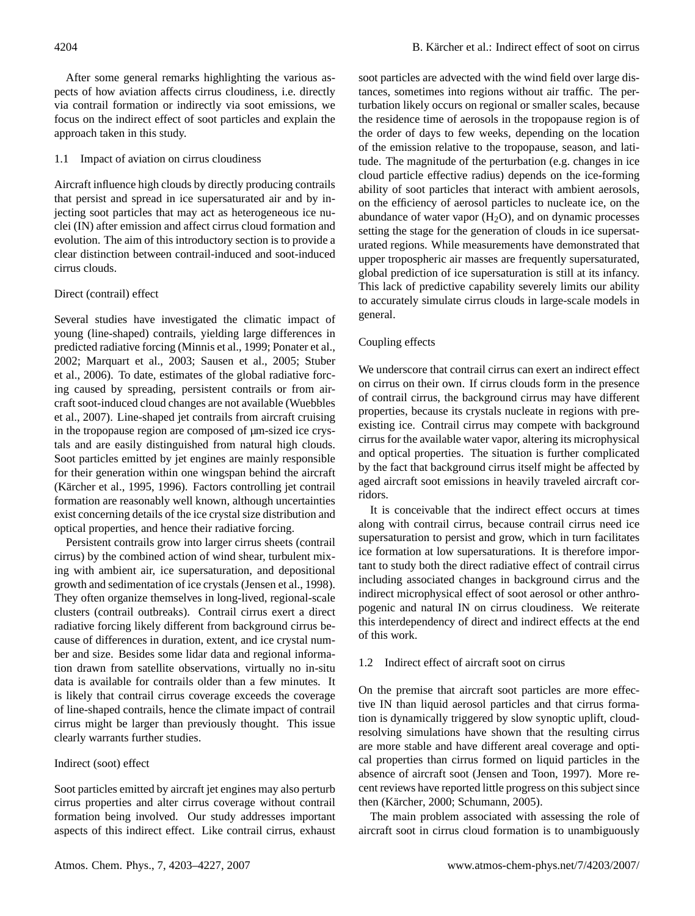After some general remarks highlighting the various aspects of how aviation affects cirrus cloudiness, i.e. directly via contrail formation or indirectly via soot emissions, we focus on the indirect effect of soot particles and explain the approach taken in this study.

## <span id="page-1-0"></span>1.1 Impact of aviation on cirrus cloudiness

Aircraft influence high clouds by directly producing contrails that persist and spread in ice supersaturated air and by injecting soot particles that may act as heterogeneous ice nuclei (IN) after emission and affect cirrus cloud formation and evolution. The aim of this introductory section is to provide a clear distinction between contrail-induced and soot-induced cirrus clouds.

## Direct (contrail) effect

Several studies have investigated the climatic impact of young (line-shaped) contrails, yielding large differences in predicted radiative forcing [\(Minnis et al.,](#page-23-6) [1999;](#page-23-6) [Ponater et al.,](#page-23-7) [2002;](#page-23-7) [Marquart et al.,](#page-23-8) [2003;](#page-23-8) [Sausen et al.,](#page-23-9) [2005;](#page-23-9) [Stuber](#page-24-2) [et al.,](#page-24-2) [2006\)](#page-24-2). To date, estimates of the global radiative forcing caused by spreading, persistent contrails or from aircraft soot-induced cloud changes are not available [\(Wuebbles](#page-24-3) [et al.,](#page-24-3) [2007\)](#page-24-3). Line-shaped jet contrails from aircraft cruising in the tropopause region are composed of  $\mu$ m-sized ice crystals and are easily distinguished from natural high clouds. Soot particles emitted by jet engines are mainly responsible for their generation within one wingspan behind the aircraft (Kärcher et al., [1995,](#page-22-5) [1996\)](#page-22-6). Factors controlling jet contrail formation are reasonably well known, although uncertainties exist concerning details of the ice crystal size distribution and optical properties, and hence their radiative forcing.

Persistent contrails grow into larger cirrus sheets (contrail cirrus) by the combined action of wind shear, turbulent mixing with ambient air, ice supersaturation, and depositional growth and sedimentation of ice crystals [\(Jensen et al.,](#page-22-7) [1998\)](#page-22-7). They often organize themselves in long-lived, regional-scale clusters (contrail outbreaks). Contrail cirrus exert a direct radiative forcing likely different from background cirrus because of differences in duration, extent, and ice crystal number and size. Besides some lidar data and regional information drawn from satellite observations, virtually no in-situ data is available for contrails older than a few minutes. It is likely that contrail cirrus coverage exceeds the coverage of line-shaped contrails, hence the climate impact of contrail cirrus might be larger than previously thought. This issue clearly warrants further studies.

# Indirect (soot) effect

Soot particles emitted by aircraft jet engines may also perturb cirrus properties and alter cirrus coverage without contrail formation being involved. Our study addresses important aspects of this indirect effect. Like contrail cirrus, exhaust soot particles are advected with the wind field over large distances, sometimes into regions without air traffic. The perturbation likely occurs on regional or smaller scales, because the residence time of aerosols in the tropopause region is of the order of days to few weeks, depending on the location of the emission relative to the tropopause, season, and latitude. The magnitude of the perturbation (e.g. changes in ice cloud particle effective radius) depends on the ice-forming ability of soot particles that interact with ambient aerosols, on the efficiency of aerosol particles to nucleate ice, on the abundance of water vapor  $(H<sub>2</sub>O)$ , and on dynamic processes setting the stage for the generation of clouds in ice supersaturated regions. While measurements have demonstrated that upper tropospheric air masses are frequently supersaturated, global prediction of ice supersaturation is still at its infancy. This lack of predictive capability severely limits our ability to accurately simulate cirrus clouds in large-scale models in general.

## Coupling effects

We underscore that contrail cirrus can exert an indirect effect on cirrus on their own. If cirrus clouds form in the presence of contrail cirrus, the background cirrus may have different properties, because its crystals nucleate in regions with preexisting ice. Contrail cirrus may compete with background cirrus for the available water vapor, altering its microphysical and optical properties. The situation is further complicated by the fact that background cirrus itself might be affected by aged aircraft soot emissions in heavily traveled aircraft corridors.

It is conceivable that the indirect effect occurs at times along with contrail cirrus, because contrail cirrus need ice supersaturation to persist and grow, which in turn facilitates ice formation at low supersaturations. It is therefore important to study both the direct radiative effect of contrail cirrus including associated changes in background cirrus and the indirect microphysical effect of soot aerosol or other anthropogenic and natural IN on cirrus cloudiness. We reiterate this interdependency of direct and indirect effects at the end of this work.

# 1.2 Indirect effect of aircraft soot on cirrus

On the premise that aircraft soot particles are more effective IN than liquid aerosol particles and that cirrus formation is dynamically triggered by slow synoptic uplift, cloudresolving simulations have shown that the resulting cirrus are more stable and have different areal coverage and optical properties than cirrus formed on liquid particles in the absence of aircraft soot [\(Jensen and Toon,](#page-22-8) [1997\)](#page-22-8). More recent reviews have reported little progress on this subject since then (Kärcher, [2000;](#page-22-9) [Schumann,](#page-24-4) [2005\)](#page-24-4).

The main problem associated with assessing the role of aircraft soot in cirrus cloud formation is to unambiguously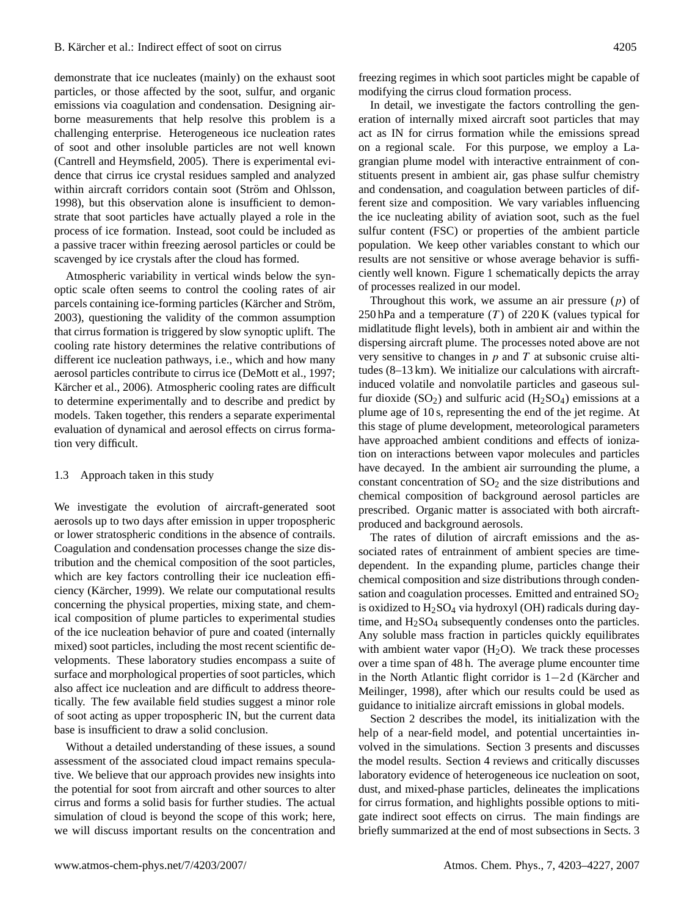demonstrate that ice nucleates (mainly) on the exhaust soot particles, or those affected by the soot, sulfur, and organic emissions via coagulation and condensation. Designing airborne measurements that help resolve this problem is a challenging enterprise. Heterogeneous ice nucleation rates of soot and other insoluble particles are not well known [\(Cantrell and Heymsfield,](#page-21-4) [2005\)](#page-21-4). There is experimental evidence that cirrus ice crystal residues sampled and analyzed within aircraft corridors contain soot (Ström and Ohlsson, [1998\)](#page-24-5), but this observation alone is insufficient to demonstrate that soot particles have actually played a role in the process of ice formation. Instead, soot could be included as a passive tracer within freezing aerosol particles or could be scavenged by ice crystals after the cloud has formed.

Atmospheric variability in vertical winds below the synoptic scale often seems to control the cooling rates of air parcels containing ice-forming particles (Kärcher and Ström, [2003\)](#page-22-10), questioning the validity of the common assumption that cirrus formation is triggered by slow synoptic uplift. The cooling rate history determines the relative contributions of different ice nucleation pathways, i.e., which and how many aerosol particles contribute to cirrus ice [\(DeMott et al.,](#page-21-5) [1997;](#page-21-5) Kärcher et al., [2006\)](#page-22-11). Atmospheric cooling rates are difficult to determine experimentally and to describe and predict by models. Taken together, this renders a separate experimental evaluation of dynamical and aerosol effects on cirrus formation very difficult.

#### 1.3 Approach taken in this study

We investigate the evolution of aircraft-generated soot aerosols up to two days after emission in upper tropospheric or lower stratospheric conditions in the absence of contrails. Coagulation and condensation processes change the size distribution and the chemical composition of the soot particles, which are key factors controlling their ice nucleation effi-ciency (Kärcher, [1999\)](#page-22-12). We relate our computational results concerning the physical properties, mixing state, and chemical composition of plume particles to experimental studies of the ice nucleation behavior of pure and coated (internally mixed) soot particles, including the most recent scientific developments. These laboratory studies encompass a suite of surface and morphological properties of soot particles, which also affect ice nucleation and are difficult to address theoretically. The few available field studies suggest a minor role of soot acting as upper tropospheric IN, but the current data base is insufficient to draw a solid conclusion.

Without a detailed understanding of these issues, a sound assessment of the associated cloud impact remains speculative. We believe that our approach provides new insights into the potential for soot from aircraft and other sources to alter cirrus and forms a solid basis for further studies. The actual simulation of cloud is beyond the scope of this work; here, we will discuss important results on the concentration and

In detail, we investigate the factors controlling the generation of internally mixed aircraft soot particles that may act as IN for cirrus formation while the emissions spread on a regional scale. For this purpose, we employ a Lagrangian plume model with interactive entrainment of constituents present in ambient air, gas phase sulfur chemistry and condensation, and coagulation between particles of different size and composition. We vary variables influencing the ice nucleating ability of aviation soot, such as the fuel sulfur content (FSC) or properties of the ambient particle population. We keep other variables constant to which our results are not sensitive or whose average behavior is sufficiently well known. Figure [1](#page-3-0) schematically depicts the array of processes realized in our model.

Throughout this work, we assume an air pressure  $(p)$  of 250 hPa and a temperature  $(T)$  of 220 K (values typical for midlatitude flight levels), both in ambient air and within the dispersing aircraft plume. The processes noted above are not very sensitive to changes in  $p$  and  $T$  at subsonic cruise altitudes (8–13 km). We initialize our calculations with aircraftinduced volatile and nonvolatile particles and gaseous sulfur dioxide  $(SO_2)$  and sulfuric acid  $(H_2SO_4)$  emissions at a plume age of 10 s, representing the end of the jet regime. At this stage of plume development, meteorological parameters have approached ambient conditions and effects of ionization on interactions between vapor molecules and particles have decayed. In the ambient air surrounding the plume, a constant concentration of  $SO<sub>2</sub>$  and the size distributions and chemical composition of background aerosol particles are prescribed. Organic matter is associated with both aircraftproduced and background aerosols.

The rates of dilution of aircraft emissions and the associated rates of entrainment of ambient species are timedependent. In the expanding plume, particles change their chemical composition and size distributions through condensation and coagulation processes. Emitted and entrained  $SO<sub>2</sub>$ is oxidized to  $H_2SO_4$  via hydroxyl (OH) radicals during daytime, and  $H<sub>2</sub>SO<sub>4</sub>$  subsequently condenses onto the particles. Any soluble mass fraction in particles quickly equilibrates with ambient water vapor  $(H<sub>2</sub>O)$ . We track these processes over a time span of 48 h. The average plume encounter time in the North Atlantic flight corridor is  $1-2d$  (Kärcher and [Meilinger,](#page-22-13) [1998\)](#page-22-13), after which our results could be used as guidance to initialize aircraft emissions in global models.

Section [2](#page-4-0) describes the model, its initialization with the help of a near-field model, and potential uncertainties involved in the simulations. Section [3](#page-9-0) presents and discusses the model results. Section [4](#page-13-0) reviews and critically discusses laboratory evidence of heterogeneous ice nucleation on soot, dust, and mixed-phase particles, delineates the implications for cirrus formation, and highlights possible options to mitigate indirect soot effects on cirrus. The main findings are briefly summarized at the end of most subsections in Sects. [3](#page-9-0)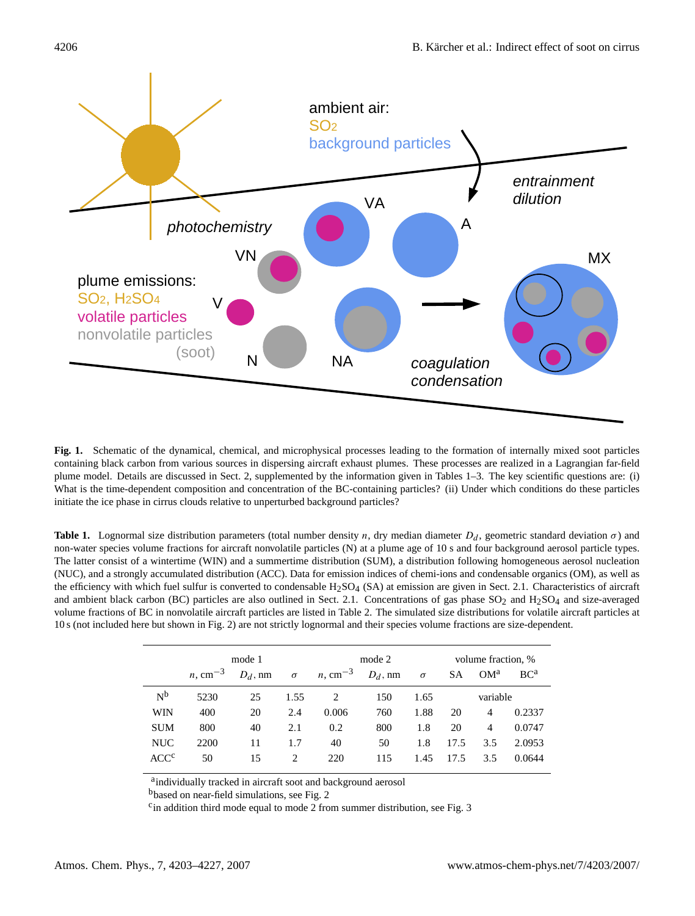

<span id="page-3-0"></span>**Fig. 1.** Schematic of the dynamical, chemical, and microphysical processes leading to the formation of internally mixed soot particles containing black carbon from various sources in dispersing aircraft exhaust plumes. These processes are realized in a Lagrangian far-field plume model. Details are discussed in Sect. [2,](#page-4-0) supplemented by the information given in Tables [1–](#page-3-1)[3.](#page-8-0) The key scientific questions are: (i) What is the time-dependent composition and concentration of the BC-containing particles? (ii) Under which conditions do these particles initiate the ice phase in cirrus clouds relative to unperturbed background particles?

<span id="page-3-1"></span>**Table 1.** Lognormal size distribution parameters (total number density n, dry median diameter  $D_d$ , geometric standard deviation  $\sigma$ ) and non-water species volume fractions for aircraft nonvolatile particles (N) at a plume age of 10 s and four background aerosol particle types. The latter consist of a wintertime (WIN) and a summertime distribution (SUM), a distribution following homogeneous aerosol nucleation (NUC), and a strongly accumulated distribution (ACC). Data for emission indices of chemi-ions and condensable organics (OM), as well as the efficiency with which fuel sulfur is converted to condensable  $H_2SO_4(SA)$  at emission are given in Sect. [2.1.](#page-4-1) Characteristics of aircraft and ambient black carbon (BC) particles are also outlined in Sect. [2.1.](#page-4-1) Concentrations of gas phase  $SO_2$  and  $H_2SO_4$  and size-averaged volume fractions of BC in nonvolatile aircraft particles are listed in Table [2.](#page-5-0) The simulated size distributions for volatile aircraft particles at 10 s (not included here but shown in Fig. [2\)](#page-4-2) are not strictly lognormal and their species volume fractions are size-dependent.

|                  | mode 1              |            |          | mode 2               |            |          | volume fraction, % |                |                 |
|------------------|---------------------|------------|----------|----------------------|------------|----------|--------------------|----------------|-----------------|
|                  | $n, \text{cm}^{-3}$ | $D_d$ , nm | $\sigma$ | $n, \text{ cm}^{-3}$ | $D_d$ , nm | $\sigma$ | SA                 | $OM^a$         | BC <sup>a</sup> |
| $N^b$            | 5230                | 25         | 1.55     | 2                    | 150        | 1.65     |                    | variable       |                 |
| <b>WIN</b>       | 400                 | 20         | 2.4      | 0.006                | 760        | 1.88     | 20                 | $\overline{4}$ | 0.2337          |
| <b>SUM</b>       | 800                 | 40         | 2.1      | 0.2                  | 800        | 1.8      | 20                 | $\overline{4}$ | 0.0747          |
| <b>NUC</b>       | 2200                | 11         | 1.7      | 40                   | 50         | 1.8      | 17.5               | 3.5            | 2.0953          |
| ACC <sup>c</sup> | 50                  | 15         | 2        | 220                  | 115        | 1.45     | 17.5               | 3.5            | 0.0644          |
|                  |                     |            |          |                      |            |          |                    |                |                 |

<sup>a</sup>individually tracked in aircraft soot and background aerosol

bbased on near-field simulations, see Fig. [2](#page-4-2)

 $c$  in addition third mode equal to mode 2 from summer distribution, see Fig. [3](#page-6-0)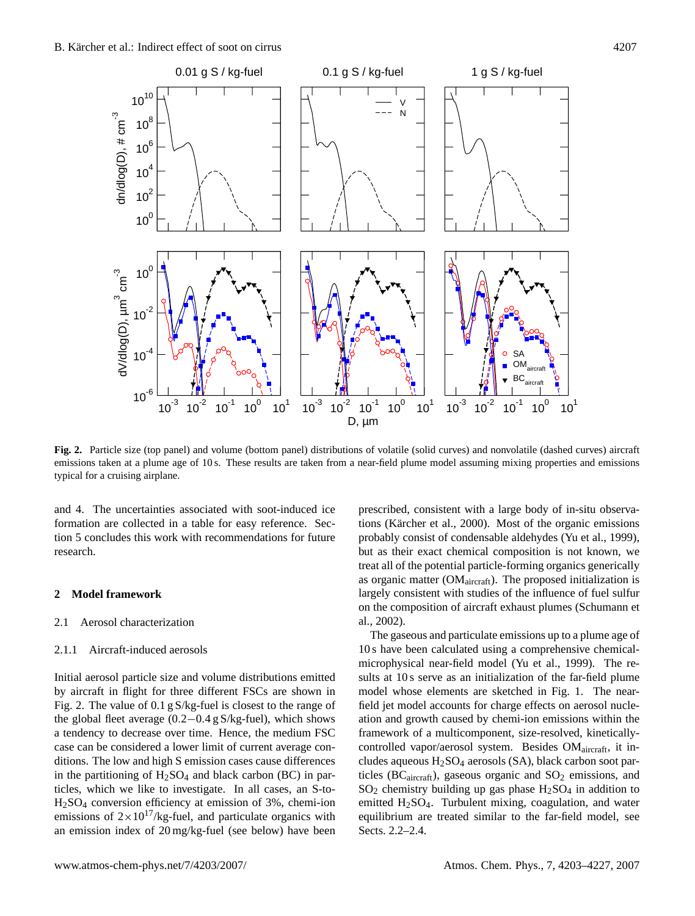

<span id="page-4-2"></span>**Fig. 2.** Particle size (top panel) and volume (bottom panel) distributions of volatile (solid curves) and nonvolatile (dashed curves) aircraft emissions taken at a plume age of 10 s. These results are taken from a near-field plume model assuming mixing properties and emissions typical for a cruising airplane.

and [4.](#page-13-0) The uncertainties associated with soot-induced ice formation are collected in a table for easy reference. Section [5](#page-19-0) concludes this work with recommendations for future research.

## <span id="page-4-0"></span>**2 Model framework**

# <span id="page-4-1"></span>2.1 Aerosol characterization

#### 2.1.1 Aircraft-induced aerosols

Initial aerosol particle size and volume distributions emitted by aircraft in flight for three different FSCs are shown in Fig. [2.](#page-4-2) The value of 0.1 g S/kg-fuel is closest to the range of the global fleet average (0.2−0.4 g S/kg-fuel), which shows a tendency to decrease over time. Hence, the medium FSC case can be considered a lower limit of current average conditions. The low and high S emission cases cause differences in the partitioning of  $H_2SO_4$  and black carbon (BC) in particles, which we like to investigate. In all cases, an S-to-H2SO<sup>4</sup> conversion efficiency at emission of 3%, chemi-ion emissions of  $2 \times 10^{17}$ /kg-fuel, and particulate organics with an emission index of 20 mg/kg-fuel (see below) have been prescribed, consistent with a large body of in-situ observa-tions (Kärcher et al., [2000\)](#page-22-14). Most of the organic emissions probably consist of condensable aldehydes [\(Yu et al.,](#page-24-6) [1999\)](#page-24-6), but as their exact chemical composition is not known, we treat all of the potential particle-forming organics generically as organic matter (OMaircraft). The proposed initialization is largely consistent with studies of the influence of fuel sulfur on the composition of aircraft exhaust plumes [\(Schumann et](#page-24-7) [al.,](#page-24-7) [2002\)](#page-24-7).

The gaseous and particulate emissions up to a plume age of 10 s have been calculated using a comprehensive chemicalmicrophysical near-field model [\(Yu et al.,](#page-24-6) [1999\)](#page-24-6). The results at 10 s serve as an initialization of the far-field plume model whose elements are sketched in Fig. [1.](#page-3-0) The nearfield jet model accounts for charge effects on aerosol nucleation and growth caused by chemi-ion emissions within the framework of a multicomponent, size-resolved, kineticallycontrolled vapor/aerosol system. Besides OMaircraft, it includes aqueous H2SO<sup>4</sup> aerosols (SA), black carbon soot particles (BC $_{\text{aircraft}}$ ), gaseous organic and  $SO_2$  emissions, and  $SO_2$  chemistry building up gas phase  $H_2SO_4$  in addition to emitted  $H_2SO_4$ . Turbulent mixing, coagulation, and water equilibrium are treated similar to the far-field model, see Sects. [2.2–](#page-6-1)[2.4.](#page-8-1)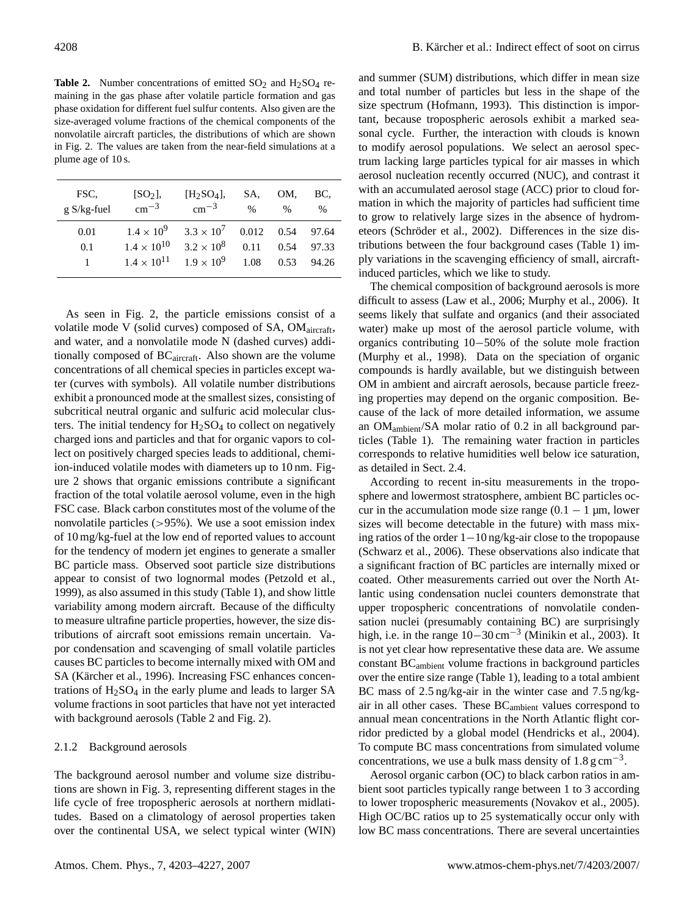<span id="page-5-0"></span>**Table 2.** Number concentrations of emitted  $SO_2$  and  $H_2SO_4$  remaining in the gas phase after volatile particle formation and gas phase oxidation for different fuel sulfur contents. Also given are the size-averaged volume fractions of the chemical components of the nonvolatile aircraft particles, the distributions of which are shown in Fig. [2.](#page-4-2) The values are taken from the near-field simulations at a plume age of 10 s.

| $\%$<br>$\%$ | $\%$                                         |
|--------------|----------------------------------------------|
|              | 97.64                                        |
| 0.11         | 97.33                                        |
| 1.08         | 94.26                                        |
|              | $3.3 \times 10^7$ 0.012 0.54<br>0.54<br>0.53 |

As seen in Fig. [2,](#page-4-2) the particle emissions consist of a volatile mode V (solid curves) composed of SA, OMaircraft, and water, and a nonvolatile mode N (dashed curves) additionally composed of BCaircraft. Also shown are the volume concentrations of all chemical species in particles except water (curves with symbols). All volatile number distributions exhibit a pronounced mode at the smallest sizes, consisting of subcritical neutral organic and sulfuric acid molecular clusters. The initial tendency for  $H_2SO_4$  to collect on negatively charged ions and particles and that for organic vapors to collect on positively charged species leads to additional, chemiion-induced volatile modes with diameters up to 10 nm. Figure [2](#page-4-2) shows that organic emissions contribute a significant fraction of the total volatile aerosol volume, even in the high FSC case. Black carbon constitutes most of the volume of the nonvolatile particles  $(>95\%)$ . We use a soot emission index of 10 mg/kg-fuel at the low end of reported values to account for the tendency of modern jet engines to generate a smaller BC particle mass. Observed soot particle size distributions appear to consist of two lognormal modes [\(Petzold et al.,](#page-23-10) [1999\)](#page-23-10), as also assumed in this study (Table [1\)](#page-3-1), and show little variability among modern aircraft. Because of the difficulty to measure ultrafine particle properties, however, the size distributions of aircraft soot emissions remain uncertain. Vapor condensation and scavenging of small volatile particles causes BC particles to become internally mixed with OM and SA (Kärcher et al., [1996\)](#page-22-6). Increasing FSC enhances concentrations of  $H_2SO_4$  in the early plume and leads to larger SA volume fractions in soot particles that have not yet interacted with background aerosols (Table [2](#page-5-0) and Fig. [2\)](#page-4-2).

#### <span id="page-5-1"></span>2.1.2 Background aerosols

The background aerosol number and volume size distributions are shown in Fig. [3,](#page-6-0) representing different stages in the life cycle of free tropospheric aerosols at northern midlatitudes. Based on a climatology of aerosol properties taken over the continental USA, we select typical winter (WIN) and summer (SUM) distributions, which differ in mean size and total number of particles but less in the shape of the size spectrum [\(Hofmann,](#page-22-15) [1993\)](#page-22-15). This distinction is important, because tropospheric aerosols exhibit a marked seasonal cycle. Further, the interaction with clouds is known to modify aerosol populations. We select an aerosol spectrum lacking large particles typical for air masses in which aerosol nucleation recently occurred (NUC), and contrast it with an accumulated aerosol stage (ACC) prior to cloud formation in which the majority of particles had sufficient time to grow to relatively large sizes in the absence of hydrom-eteors (Schröder et al., [2002\)](#page-23-11). Differences in the size distributions between the four background cases (Table [1\)](#page-3-1) imply variations in the scavenging efficiency of small, aircraftinduced particles, which we like to study.

The chemical composition of background aerosols is more difficult to assess [\(Law et al.,](#page-23-12) [2006;](#page-23-12) [Murphy et al.,](#page-23-4) [2006\)](#page-23-4). It seems likely that sulfate and organics (and their associated water) make up most of the aerosol particle volume, with organics contributing 10−50% of the solute mole fraction [\(Murphy et al.,](#page-23-13) [1998\)](#page-23-13). Data on the speciation of organic compounds is hardly available, but we distinguish between OM in ambient and aircraft aerosols, because particle freezing properties may depend on the organic composition. Because of the lack of more detailed information, we assume an OMambient/SA molar ratio of 0.2 in all background particles (Table [1\)](#page-3-1). The remaining water fraction in particles corresponds to relative humidities well below ice saturation, as detailed in Sect. [2.4.](#page-8-1)

According to recent in-situ measurements in the troposphere and lowermost stratosphere, ambient BC particles occur in the accumulation mode size range  $(0.1 - 1 \mu m)$ , lower sizes will become detectable in the future) with mass mixing ratios of the order 1−10 ng/kg-air close to the tropopause [\(Schwarz et al.,](#page-24-1) [2006\)](#page-24-1). These observations also indicate that a significant fraction of BC particles are internally mixed or coated. Other measurements carried out over the North Atlantic using condensation nuclei counters demonstrate that upper tropospheric concentrations of nonvolatile condensation nuclei (presumably containing BC) are surprisingly high, i.e. in the range  $10-30 \text{ cm}^{-3}$  [\(Minikin et al.,](#page-23-14) [2003\)](#page-23-14). It is not yet clear how representative these data are. We assume constant BC<sub>ambient</sub> volume fractions in background particles over the entire size range (Table [1\)](#page-3-1), leading to a total ambient BC mass of 2.5 ng/kg-air in the winter case and 7.5 ng/kgair in all other cases. These BCambient values correspond to annual mean concentrations in the North Atlantic flight corridor predicted by a global model [\(Hendricks et al.,](#page-22-3) [2004\)](#page-22-3). To compute BC mass concentrations from simulated volume concentrations, we use a bulk mass density of  $1.8 \text{ g cm}^{-3}$ .

Aerosol organic carbon (OC) to black carbon ratios in ambient soot particles typically range between 1 to 3 according to lower tropospheric measurements [\(Novakov et al.,](#page-23-15) [2005\)](#page-23-15). High OC/BC ratios up to 25 systematically occur only with low BC mass concentrations. There are several uncertainties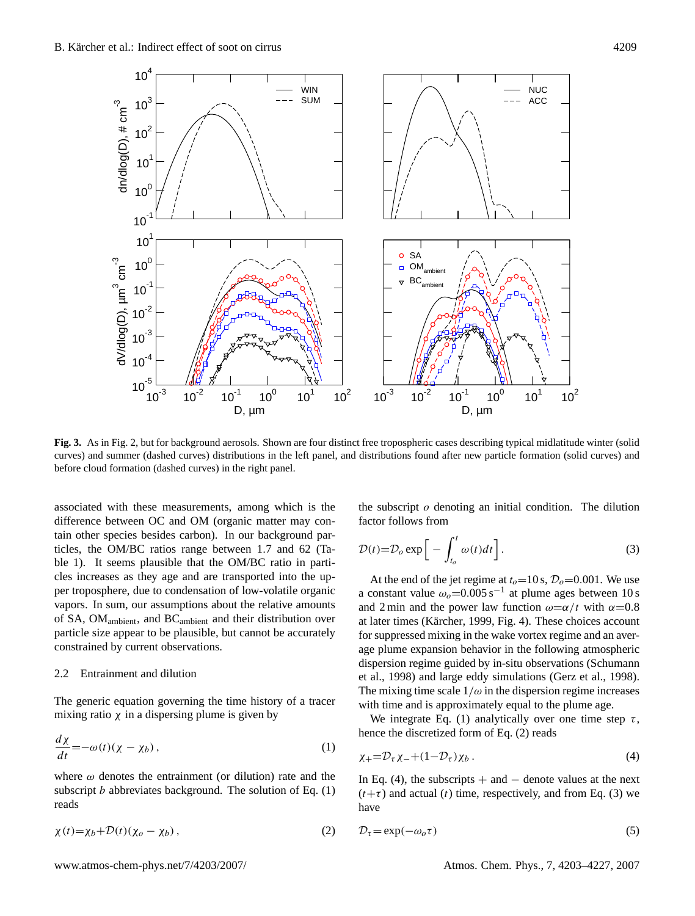

<span id="page-6-0"></span>**Fig. 3.** As in Fig. [2,](#page-4-2) but for background aerosols. Shown are four distinct free tropospheric cases describing typical midlatitude winter (solid curves) and summer (dashed curves) distributions in the left panel, and distributions found after new particle formation (solid curves) and before cloud formation (dashed curves) in the right panel.

associated with these measurements, among which is the difference between OC and OM (organic matter may contain other species besides carbon). In our background particles, the OM/BC ratios range between 1.7 and 62 (Table [1\)](#page-3-1). It seems plausible that the OM/BC ratio in particles increases as they age and are transported into the upper troposphere, due to condensation of low-volatile organic vapors. In sum, our assumptions about the relative amounts of SA, OMambient, and BCambient and their distribution over particle size appear to be plausible, but cannot be accurately constrained by current observations.

#### <span id="page-6-1"></span>2.2 Entrainment and dilution

The generic equation governing the time history of a tracer mixing ratio  $\chi$  in a dispersing plume is given by

<span id="page-6-2"></span>
$$
\frac{d\chi}{dt} = -\omega(t)(\chi - \chi_b),\tag{1}
$$

where  $\omega$  denotes the entrainment (or dilution) rate and the subscript  $b$  abbreviates background. The solution of Eq.  $(1)$ reads

<span id="page-6-3"></span>
$$
\chi(t) = \chi_b + \mathcal{D}(t)(\chi_o - \chi_b),\tag{2}
$$

the subscript  $o$  denoting an initial condition. The dilution factor follows from

<span id="page-6-5"></span>
$$
\mathcal{D}(t) = \mathcal{D}_o \exp\left[-\int_{t_o}^t \omega(t)dt\right].
$$
 (3)

At the end of the jet regime at  $t<sub>o</sub>=10$  s,  $\mathcal{D}<sub>o</sub>=0.001$ . We use a constant value  $\omega_o$ =0.005 s<sup>-1</sup> at plume ages between 10 s and 2 min and the power law function  $\omega = \alpha/t$  with  $\alpha = 0.8$ at later times (Kärcher, [1999,](#page-22-12) Fig. 4). These choices account for suppressed mixing in the wake vortex regime and an average plume expansion behavior in the following atmospheric dispersion regime guided by in-situ observations [\(Schumann](#page-24-8) [et al.,](#page-24-8) [1998\)](#page-24-8) and large eddy simulations [\(Gerz et al.,](#page-22-16) [1998\)](#page-22-16). The mixing time scale  $1/\omega$  in the dispersion regime increases with time and is approximately equal to the plume age.

We integrate Eq. [\(1\)](#page-6-2) analytically over one time step  $\tau$ , hence the discretized form of Eq. [\(2\)](#page-6-3) reads

<span id="page-6-4"></span>
$$
\chi_{+} = \mathcal{D}_{\tau} \chi_{-} + (1 - \mathcal{D}_{\tau}) \chi_{b} . \tag{4}
$$

In Eq. [\(4\)](#page-6-4), the subscripts  $+$  and  $-$  denote values at the next  $(t+\tau)$  and actual (*t*) time, respectively, and from Eq. [\(3\)](#page-6-5) we have

$$
\mathcal{D}_{\tau} = \exp(-\omega_o \tau) \tag{5}
$$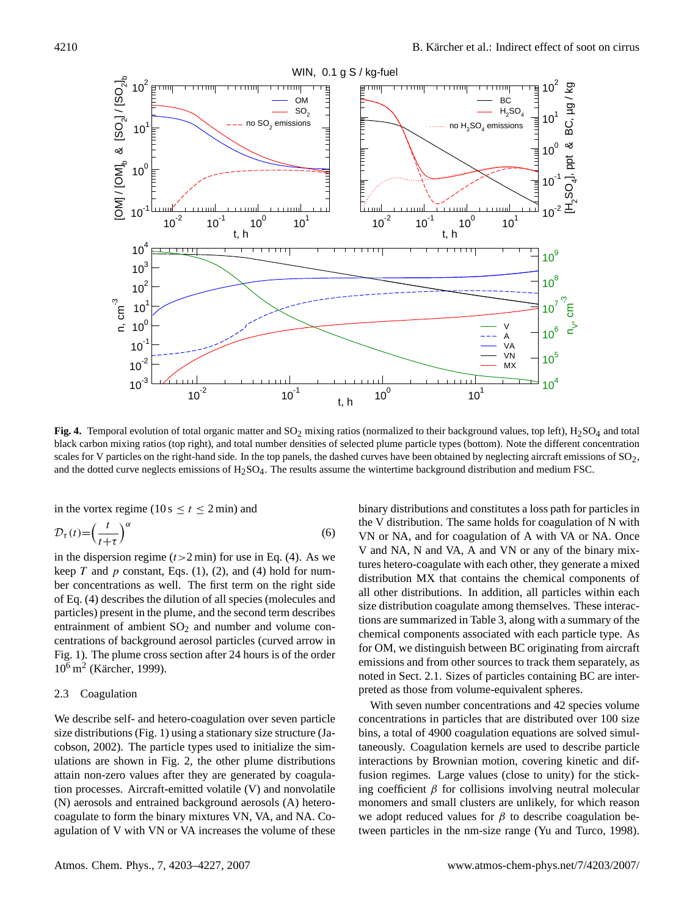

<span id="page-7-0"></span>Fig. 4. Temporal evolution of total organic matter and SO<sub>2</sub> mixing ratios (normalized to their background values, top left), H<sub>2</sub>SO<sub>4</sub> and total black carbon mixing ratios (top right), and total number densities of selected plume particle types (bottom). Note the different concentration scales for V particles on the right-hand side. In the top panels, the dashed curves have been obtained by neglecting aircraft emissions of  $SO<sub>2</sub>$ , and the dotted curve neglects emissions of  $H_2SO_4$ . The results assume the wintertime background distribution and medium FSC.

in the vortex regime (10 s  $\leq t \leq 2$  min) and

$$
\mathcal{D}_{\tau}(t) = \left(\frac{t}{t+\tau}\right)^{\alpha} \tag{6}
$$

in the dispersion regime  $(t>2$  min) for use in Eq. [\(4\)](#page-6-4). As we keep  $T$  and  $p$  constant, Eqs. [\(1\)](#page-6-2), [\(2\)](#page-6-3), and [\(4\)](#page-6-4) hold for number concentrations as well. The first term on the right side of Eq. [\(4\)](#page-6-4) describes the dilution of all species (molecules and particles) present in the plume, and the second term describes entrainment of ambient  $SO<sub>2</sub>$  and number and volume concentrations of background aerosol particles (curved arrow in Fig. [1\)](#page-3-0). The plume cross section after 24 hours is of the order 10<sup>6</sup> m<sup>2</sup> (Kärcher, [1999\)](#page-22-12).

## 2.3 Coagulation

We describe self- and hetero-coagulation over seven particle size distributions (Fig. [1\)](#page-3-0) using a stationary size structure [\(Ja](#page-22-17)[cobson,](#page-22-17) [2002\)](#page-22-17). The particle types used to initialize the simulations are shown in Fig. [2,](#page-4-2) the other plume distributions attain non-zero values after they are generated by coagulation processes. Aircraft-emitted volatile (V) and nonvolatile (N) aerosols and entrained background aerosols (A) heterocoagulate to form the binary mixtures VN, VA, and NA. Coagulation of V with VN or VA increases the volume of these binary distributions and constitutes a loss path for particles in the V distribution. The same holds for coagulation of N with VN or NA, and for coagulation of A with VA or NA. Once V and NA, N and VA, A and VN or any of the binary mixtures hetero-coagulate with each other, they generate a mixed distribution MX that contains the chemical components of all other distributions. In addition, all particles within each size distribution coagulate among themselves. These interactions are summarized in Table [3,](#page-8-0) along with a summary of the chemical components associated with each particle type. As for OM, we distinguish between BC originating from aircraft emissions and from other sources to track them separately, as noted in Sect. [2.1.](#page-4-1) Sizes of particles containing BC are interpreted as those from volume-equivalent spheres.

With seven number concentrations and 42 species volume concentrations in particles that are distributed over 100 size bins, a total of 4900 coagulation equations are solved simultaneously. Coagulation kernels are used to describe particle interactions by Brownian motion, covering kinetic and diffusion regimes. Large values (close to unity) for the sticking coefficient  $\beta$  for collisions involving neutral molecular monomers and small clusters are unlikely, for which reason we adopt reduced values for  $\beta$  to describe coagulation between particles in the nm-size range [\(Yu and Turco,](#page-24-9) [1998\)](#page-24-9).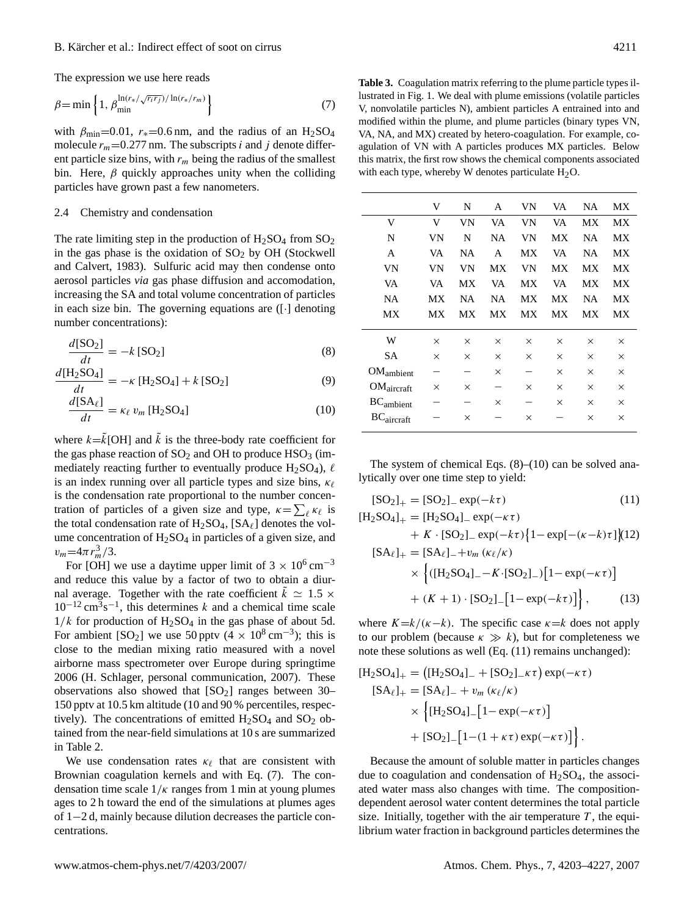## B. Kärcher et al.: Indirect effect of soot on cirrus 4211

The expression we use here reads

<span id="page-8-2"></span>
$$
\beta = \min\left\{1, \beta_{\min}^{\ln(r_*/\sqrt{r_ir_j})/\ln(r_*/r_m)}\right\} \tag{7}
$$

with  $\beta_{\text{min}}=0.01$ ,  $r_*=0.6$  nm, and the radius of an H<sub>2</sub>SO<sub>4</sub> molecule  $r_m$ =0.277 nm. The subscripts i and j denote different particle size bins, with  $r_m$  being the radius of the smallest bin. Here,  $\beta$  quickly approaches unity when the colliding particles have grown past a few nanometers.

#### <span id="page-8-1"></span>2.4 Chemistry and condensation

The rate limiting step in the production of  $H_2SO_4$  from  $SO_2$ in the gas phase is the oxidation of  $SO<sub>2</sub>$  by OH [\(Stockwell](#page-24-10) [and Calvert,](#page-24-10) [1983\)](#page-24-10). Sulfuric acid may then condense onto aerosol particles *via* gas phase diffusion and accomodation, increasing the SA and total volume concentration of particles in each size bin. The governing equations are ([·] denoting number concentrations):

$$
\frac{d[\text{SO}_2]}{dt} = -k [\text{SO}_2] \tag{8}
$$

<span id="page-8-3"></span>
$$
\frac{d[\text{H}_2\text{SO}_4]}{dt} = -\kappa [\text{H}_2\text{SO}_4] + k [\text{SO}_2] \tag{9}
$$

$$
\frac{d[\text{SA}_{\ell}]}{dt} = \kappa_{\ell} v_m [\text{H}_2\text{SO}_4]
$$
 (10)

where  $k=\tilde{k}$ [OH] and  $\tilde{k}$  is the three-body rate coefficient for the gas phase reaction of  $SO<sub>2</sub>$  and OH to produce  $HSO<sub>3</sub>$  (immediately reacting further to eventually produce  $H_2SO_4$ ),  $\ell$ is an index running over all particle types and size bins,  $\kappa_{\ell}$ is the condensation rate proportional to the number concentration of particles of a given size and type,  $\kappa = \sum_{\ell} \kappa_{\ell}$  is the total condensation rate of  $H_2SO_4$ ,  $[SA_\ell]$  denotes the volume concentration of  $H_2SO_4$  in particles of a given size, and  $v_m = 4\pi r_m^3/3.$ 

For [OH] we use a daytime upper limit of  $3 \times 10^6$  cm<sup>-3</sup> and reduce this value by a factor of two to obtain a diurnal average. Together with the rate coefficient  $\tilde{k} \simeq 1.5 \times$  $10^{-12}$  cm<sup>3</sup>s<sup>-1</sup>, this determines k and a chemical time scale  $1/k$  for production of  $H_2SO_4$  in the gas phase of about 5d. For ambient [SO<sub>2</sub>] we use 50 pptv  $(4 \times 10^8 \text{ cm}^{-3})$ ; this is close to the median mixing ratio measured with a novel airborne mass spectrometer over Europe during springtime 2006 (H. Schlager, personal communication, 2007). These observations also showed that  $[SO_2]$  ranges between 30– 150 pptv at 10.5 km altitude (10 and 90 % percentiles, respectively). The concentrations of emitted  $H<sub>2</sub>SO<sub>4</sub>$  and  $SO<sub>2</sub>$  obtained from the near-field simulations at 10 s are summarized in Table [2.](#page-5-0)

We use condensation rates  $\kappa_{\ell}$  that are consistent with Brownian coagulation kernels and with Eq. [\(7\)](#page-8-2). The condensation time scale  $1/\kappa$  ranges from 1 min at young plumes ages to 2 h toward the end of the simulations at plumes ages of 1−2 d, mainly because dilution decreases the particle concentrations.

<span id="page-8-0"></span>**Table 3.** Coagulation matrix referring to the plume particle types illustrated in Fig. [1.](#page-3-0) We deal with plume emissions (volatile particles V, nonvolatile particles N), ambient particles A entrained into and modified within the plume, and plume particles (binary types VN, VA, NA, and MX) created by hetero-coagulation. For example, coagulation of VN with A particles produces MX particles. Below this matrix, the first row shows the chemical components associated with each type, whereby W denotes particulate  $H_2O$ .

|                              | V        | N         | A        | VN | VA | NA.       | МX       |
|------------------------------|----------|-----------|----------|----|----|-----------|----------|
| V                            | V        | VN        | VA       | VN | VA | МX        | МX       |
| N                            | VN       | N         | NA       | VN | МX | NA.       | MX       |
| A                            | VA       | NA        | A        | МX | VA | NA        | МX       |
| VN                           | VN       | VN        | МX       | VN | МX | МX        | МX       |
| VA                           | VA       | МX        | VA       | МX | VA | МX        | МX       |
| NA                           | МX       | <b>NA</b> | NA       | МX | МX | <b>NA</b> | МX       |
| MX                           | МX       | MX        | МX       | MX | МX | МX        | МX       |
| W                            | $\times$ | $\times$  | X        | X  | X  | $\times$  | $\times$ |
| SА                           | $\times$ | $\times$  | $\times$ | ×  | X  | X         | X        |
| OM <sub>ambient</sub>        |          |           | $\times$ |    | X  | $\times$  | $\times$ |
| $OM_{\text{aircraft}}$       | $\times$ | $\times$  |          | ×  | X  | $\times$  | X        |
| <b>BC</b> <sub>ambient</sub> |          |           | $\times$ |    | X  | $\times$  | $\times$ |
| $BC_{\text{aircraft}}$       |          | X         |          | ×  |    | $\times$  | $\times$ |

The system of chemical Eqs.  $(8)$ – $(10)$  can be solved analytically over one time step to yield:

<span id="page-8-4"></span>
$$
[SO_2]_+ = [SO_2]_-\exp(-k\tau) \qquad (11)
$$
  
\n
$$
[H_2SO_4]_+ = [H_2SO_4]_-\exp(-\kappa\tau)
$$
  
\n+ K \cdot [SO\_2]\_-\exp(-k\tau)\{1-\exp[-(\kappa-k)\tau]\}(12)  
\n
$$
[SA_\ell]_+ = [SA_\ell]_+\nu_m(\kappa_\ell/\kappa)
$$
  
\n
$$
\times \left\{([H_2SO_4]_--K\cdot[SO_2]_-)[1-\exp(-\kappa\tau)]\right\}
$$
  
\n+ (K + 1) \cdot [SO\_2]\_- [1-\exp(-k\tau)] , \qquad (13)

where  $K=k/(\kappa-k)$ . The specific case  $\kappa=k$  does not apply to our problem (because  $\kappa \gg k$ ), but for completeness we note these solutions as well (Eq. [\(11\)](#page-8-4) remains unchanged):

$$
[\text{H}_2\text{SO}_4]_+ = ([\text{H}_2\text{SO}_4]_- + [\text{SO}_2]_- \kappa \tau) \exp(-\kappa \tau)
$$
  
\n
$$
[\text{SA}_{\ell}]_+ = [\text{SA}_{\ell}]_- + v_m (\kappa_{\ell}/\kappa)
$$
  
\n
$$
\times \left\{ [\text{H}_2\text{SO}_4]_- [1 - \exp(-\kappa \tau)] + [\text{SO}_2]_- [1 - (1 + \kappa \tau) \exp(-\kappa \tau)] \right\}.
$$

Because the amount of soluble matter in particles changes due to coagulation and condensation of  $H_2SO_4$ , the associated water mass also changes with time. The compositiondependent aerosol water content determines the total particle size. Initially, together with the air temperature  $T$ , the equilibrium water fraction in background particles determines the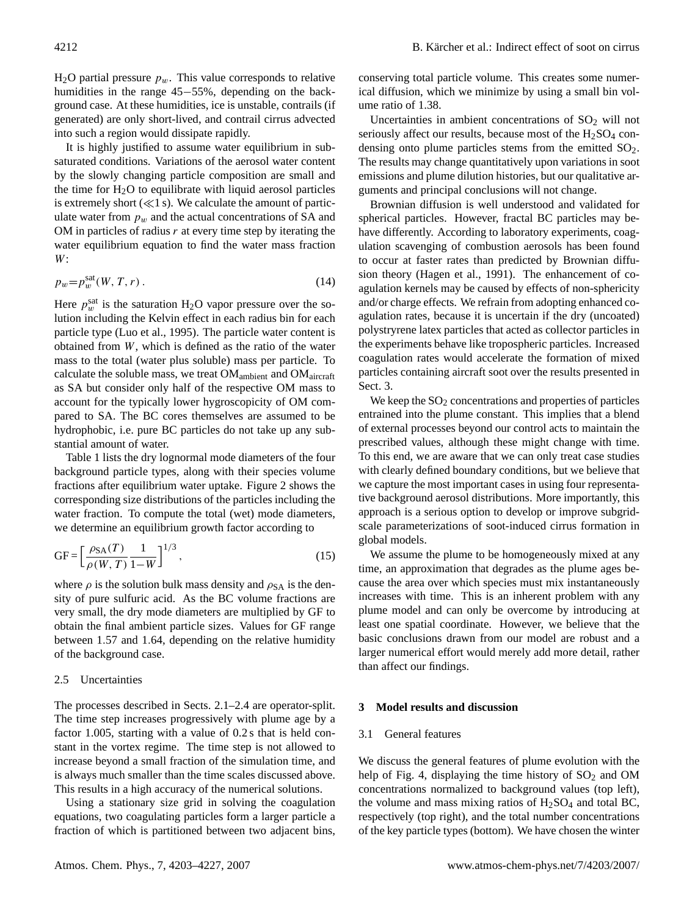$H_2O$  partial pressure  $p_w$ . This value corresponds to relative humidities in the range 45−55%, depending on the background case. At these humidities, ice is unstable, contrails (if generated) are only short-lived, and contrail cirrus advected into such a region would dissipate rapidly.

It is highly justified to assume water equilibrium in subsaturated conditions. Variations of the aerosol water content by the slowly changing particle composition are small and the time for  $H<sub>2</sub>O$  to equilibrate with liquid aerosol particles is extremely short  $(\ll 1 \text{ s})$ . We calculate the amount of particulate water from  $p_w$  and the actual concentrations of SA and OM in particles of radius  $r$  at every time step by iterating the water equilibrium equation to find the water mass fraction W:

$$
p_w = p_w^{\text{sat}}(W, T, r) \,. \tag{14}
$$

Here  $p_w^{\text{sat}}$  is the saturation H<sub>2</sub>O vapor pressure over the solution including the Kelvin effect in each radius bin for each particle type [\(Luo et al.,](#page-23-16) [1995\)](#page-23-16). The particle water content is obtained from W, which is defined as the ratio of the water mass to the total (water plus soluble) mass per particle. To calculate the soluble mass, we treat  $OM<sub>ambient</sub>$  and  $OM<sub>aircraft</sub>$ as SA but consider only half of the respective OM mass to account for the typically lower hygroscopicity of OM compared to SA. The BC cores themselves are assumed to be hydrophobic, i.e. pure BC particles do not take up any substantial amount of water.

Table [1](#page-3-1) lists the dry lognormal mode diameters of the four background particle types, along with their species volume fractions after equilibrium water uptake. Figure [2](#page-4-2) shows the corresponding size distributions of the particles including the water fraction. To compute the total (wet) mode diameters, we determine an equilibrium growth factor according to

$$
GF = \left[\frac{\rho_{SA}(T)}{\rho(W, T)} \frac{1}{1 - W}\right]^{1/3},\tag{15}
$$

where  $\rho$  is the solution bulk mass density and  $\rho_{SA}$  is the density of pure sulfuric acid. As the BC volume fractions are very small, the dry mode diameters are multiplied by GF to obtain the final ambient particle sizes. Values for GF range between 1.57 and 1.64, depending on the relative humidity of the background case.

## 2.5 Uncertainties

The processes described in Sects. [2.1](#page-4-1)[–2.4](#page-8-1) are operator-split. The time step increases progressively with plume age by a factor 1.005, starting with a value of 0.2 s that is held constant in the vortex regime. The time step is not allowed to increase beyond a small fraction of the simulation time, and is always much smaller than the time scales discussed above. This results in a high accuracy of the numerical solutions.

Using a stationary size grid in solving the coagulation equations, two coagulating particles form a larger particle a fraction of which is partitioned between two adjacent bins,

conserving total particle volume. This creates some numerical diffusion, which we minimize by using a small bin volume ratio of 1.38.

Uncertainties in ambient concentrations of  $SO<sub>2</sub>$  will not seriously affect our results, because most of the  $H<sub>2</sub>SO<sub>4</sub>$  condensing onto plume particles stems from the emitted  $SO_2$ . The results may change quantitatively upon variations in soot emissions and plume dilution histories, but our qualitative arguments and principal conclusions will not change.

Brownian diffusion is well understood and validated for spherical particles. However, fractal BC particles may behave differently. According to laboratory experiments, coagulation scavenging of combustion aerosols has been found to occur at faster rates than predicted by Brownian diffusion theory [\(Hagen et al.,](#page-22-18) [1991\)](#page-22-18). The enhancement of coagulation kernels may be caused by effects of non-sphericity and/or charge effects. We refrain from adopting enhanced coagulation rates, because it is uncertain if the dry (uncoated) polystryrene latex particles that acted as collector particles in the experiments behave like tropospheric particles. Increased coagulation rates would accelerate the formation of mixed particles containing aircraft soot over the results presented in Sect. [3.](#page-9-0)

We keep the  $SO<sub>2</sub>$  concentrations and properties of particles entrained into the plume constant. This implies that a blend of external processes beyond our control acts to maintain the prescribed values, although these might change with time. To this end, we are aware that we can only treat case studies with clearly defined boundary conditions, but we believe that we capture the most important cases in using four representative background aerosol distributions. More importantly, this approach is a serious option to develop or improve subgridscale parameterizations of soot-induced cirrus formation in global models.

We assume the plume to be homogeneously mixed at any time, an approximation that degrades as the plume ages because the area over which species must mix instantaneously increases with time. This is an inherent problem with any plume model and can only be overcome by introducing at least one spatial coordinate. However, we believe that the basic conclusions drawn from our model are robust and a larger numerical effort would merely add more detail, rather than affect our findings.

## <span id="page-9-0"></span>**3 Model results and discussion**

## <span id="page-9-1"></span>3.1 General features

We discuss the general features of plume evolution with the help of Fig. [4,](#page-7-0) displaying the time history of  $SO<sub>2</sub>$  and OM concentrations normalized to background values (top left), the volume and mass mixing ratios of  $H<sub>2</sub>SO<sub>4</sub>$  and total BC, respectively (top right), and the total number concentrations of the key particle types (bottom). We have chosen the winter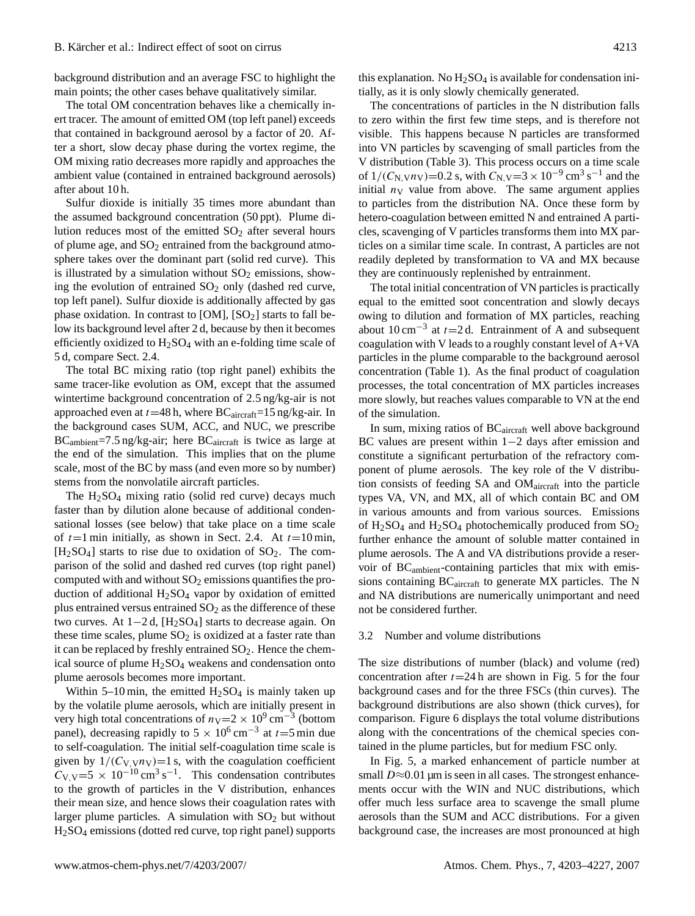background distribution and an average FSC to highlight the main points; the other cases behave qualitatively similar.

The total OM concentration behaves like a chemically inert tracer. The amount of emitted OM (top left panel) exceeds that contained in background aerosol by a factor of 20. After a short, slow decay phase during the vortex regime, the OM mixing ratio decreases more rapidly and approaches the ambient value (contained in entrained background aerosols) after about 10 h.

Sulfur dioxide is initially 35 times more abundant than the assumed background concentration (50 ppt). Plume dilution reduces most of the emitted  $SO<sub>2</sub>$  after several hours of plume age, and  $SO<sub>2</sub>$  entrained from the background atmosphere takes over the dominant part (solid red curve). This is illustrated by a simulation without  $SO<sub>2</sub>$  emissions, showing the evolution of entrained  $SO<sub>2</sub>$  only (dashed red curve, top left panel). Sulfur dioxide is additionally affected by gas phase oxidation. In contrast to  $[OM]$ ,  $[SO<sub>2</sub>]$  starts to fall below its background level after 2 d, because by then it becomes efficiently oxidized to  $H_2SO_4$  with an e-folding time scale of 5 d, compare Sect. [2.4.](#page-8-1)

The total BC mixing ratio (top right panel) exhibits the same tracer-like evolution as OM, except that the assumed wintertime background concentration of 2.5 ng/kg-air is not approached even at  $t=48$  h, where BC<sub>aircraft</sub>=15 ng/kg-air. In the background cases SUM, ACC, and NUC, we prescribe BCambient=7.5 ng/kg-air; here BCaircraft is twice as large at the end of the simulation. This implies that on the plume scale, most of the BC by mass (and even more so by number) stems from the nonvolatile aircraft particles.

The  $H<sub>2</sub>SO<sub>4</sub>$  mixing ratio (solid red curve) decays much faster than by dilution alone because of additional condensational losses (see below) that take place on a time scale of  $t=1$  min initially, as shown in Sect. [2.4.](#page-8-1) At  $t=10$  min,  $[H<sub>2</sub>SO<sub>4</sub>]$  starts to rise due to oxidation of  $SO<sub>2</sub>$ . The comparison of the solid and dashed red curves (top right panel) computed with and without  $SO_2$  emissions quantifies the production of additional  $H_2SO_4$  vapor by oxidation of emitted plus entrained versus entrained  $SO<sub>2</sub>$  as the difference of these two curves. At 1−2 d, [H2SO4] starts to decrease again. On these time scales, plume  $SO<sub>2</sub>$  is oxidized at a faster rate than it can be replaced by freshly entrained  $SO_2$ . Hence the chemical source of plume  $H<sub>2</sub>SO<sub>4</sub>$  weakens and condensation onto plume aerosols becomes more important.

Within 5–10 min, the emitted  $H_2SO_4$  is mainly taken up by the volatile plume aerosols, which are initially present in very high total concentrations of  $n_V=2 \times 10^9 \text{ cm}^{-3}$  (bottom panel), decreasing rapidly to  $5 \times 10^6$  cm<sup>-3</sup> at  $t=5$  min due to self-coagulation. The initial self-coagulation time scale is given by  $1/(C_{V,V}n_V)=1$  s, with the coagulation coefficient  $C_{V,V}=5 \times 10^{-10} \text{ cm}^3 \text{ s}^{-1}$ . This condensation contributes to the growth of particles in the V distribution, enhances their mean size, and hence slows their coagulation rates with larger plume particles. A simulation with  $SO<sub>2</sub>$  but without H2SO<sup>4</sup> emissions (dotted red curve, top right panel) supports this explanation. No  $H<sub>2</sub>SO<sub>4</sub>$  is available for condensation initially, as it is only slowly chemically generated.

The concentrations of particles in the N distribution falls to zero within the first few time steps, and is therefore not visible. This happens because N particles are transformed into VN particles by scavenging of small particles from the V distribution (Table [3\)](#page-8-0). This process occurs on a time scale of  $1/(C_{\rm N,V}n_{\rm V})$ =0.2 s, with  $C_{\rm N,V}$ =3 × 10<sup>-9</sup> cm<sup>3</sup> s<sup>-1</sup> and the initial  $n_V$  value from above. The same argument applies to particles from the distribution NA. Once these form by hetero-coagulation between emitted N and entrained A particles, scavenging of V particles transforms them into MX particles on a similar time scale. In contrast, A particles are not readily depleted by transformation to VA and MX because they are continuously replenished by entrainment.

The total initial concentration of VN particles is practically equal to the emitted soot concentration and slowly decays owing to dilution and formation of MX particles, reaching about  $10 \text{ cm}^{-3}$  at  $t=2 \text{ d}$ . Entrainment of A and subsequent coagulation with V leads to a roughly constant level of A+VA particles in the plume comparable to the background aerosol concentration (Table [1\)](#page-3-1). As the final product of coagulation processes, the total concentration of MX particles increases more slowly, but reaches values comparable to VN at the end of the simulation.

In sum, mixing ratios of BC<sub>aircraft</sub> well above background BC values are present within 1−2 days after emission and constitute a significant perturbation of the refractory component of plume aerosols. The key role of the V distribution consists of feeding SA and OMaircraft into the particle types VA, VN, and MX, all of which contain BC and OM in various amounts and from various sources. Emissions of  $H<sub>2</sub>SO<sub>4</sub>$  and  $H<sub>2</sub>SO<sub>4</sub>$  photochemically produced from  $SO<sub>2</sub>$ further enhance the amount of soluble matter contained in plume aerosols. The A and VA distributions provide a reservoir of BC<sub>ambient</sub>-containing particles that mix with emissions containing  $BC_{\text{aircraft}}$  to generate MX particles. The N and NA distributions are numerically unimportant and need not be considered further.

## <span id="page-10-0"></span>3.2 Number and volume distributions

The size distributions of number (black) and volume (red) concentration after  $t=24$  h are shown in Fig. [5](#page-11-0) for the four background cases and for the three FSCs (thin curves). The background distributions are also shown (thick curves), for comparison. Figure [6](#page-11-1) displays the total volume distributions along with the concentrations of the chemical species contained in the plume particles, but for medium FSC only.

In Fig. [5,](#page-11-0) a marked enhancement of particle number at small  $D \approx 0.01$  µm is seen in all cases. The strongest enhancements occur with the WIN and NUC distributions, which offer much less surface area to scavenge the small plume aerosols than the SUM and ACC distributions. For a given background case, the increases are most pronounced at high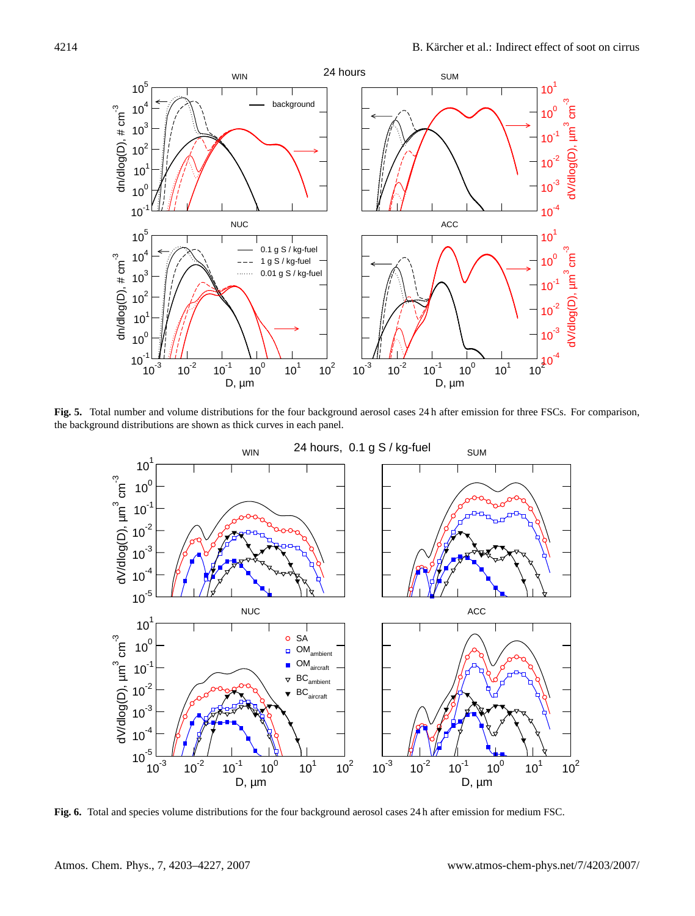

**Fig. 5.** Total number and volume distributions for the four background aerosol cases 24 h after emission for three FSCs. For comparison, the background distributions are shown as thick curves in each panel.

<span id="page-11-0"></span>

<span id="page-11-1"></span>**Fig. 6.** Total and species volume distributions for the four background aerosol cases 24 h after emission for medium FSC.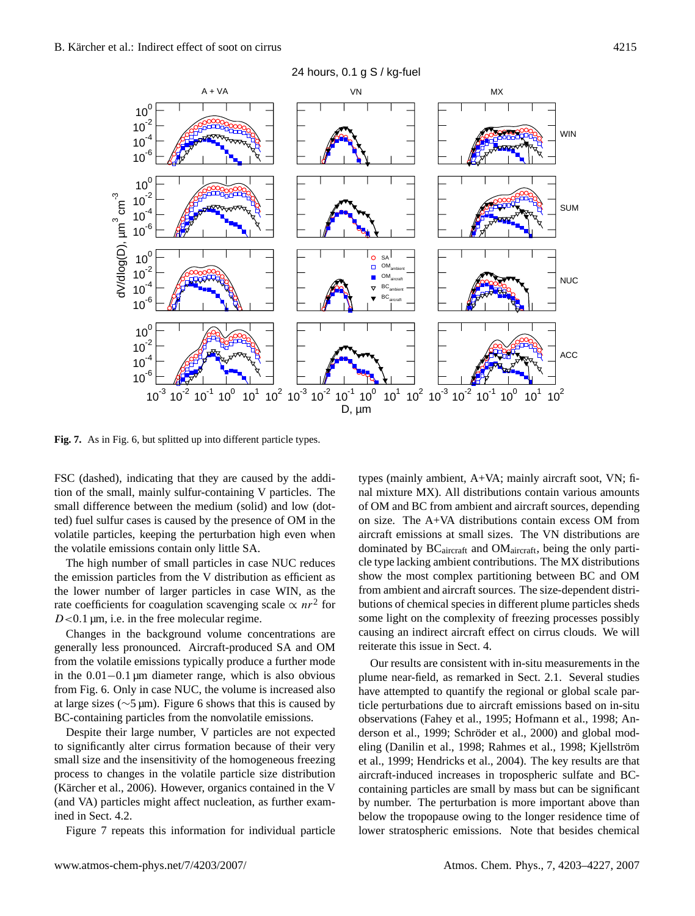



<span id="page-12-0"></span>**Fig. 7.** As in Fig. [6,](#page-11-1) but splitted up into different particle types.

FSC (dashed), indicating that they are caused by the addition of the small, mainly sulfur-containing V particles. The small difference between the medium (solid) and low (dotted) fuel sulfur cases is caused by the presence of OM in the volatile particles, keeping the perturbation high even when the volatile emissions contain only little SA.

The high number of small particles in case NUC reduces the emission particles from the V distribution as efficient as the lower number of larger particles in case WIN, as the rate coefficients for coagulation scavenging scale  $\propto nr^2$  for  $D<0.1$  µm, i.e. in the free molecular regime.

Changes in the background volume concentrations are generally less pronounced. Aircraft-produced SA and OM from the volatile emissions typically produce a further mode in the 0.01−0.1 µm diameter range, which is also obvious from Fig. [6.](#page-11-1) Only in case NUC, the volume is increased also at large sizes (∼5 µm). Figure [6](#page-11-1) shows that this is caused by BC-containing particles from the nonvolatile emissions.

Despite their large number, V particles are not expected to significantly alter cirrus formation because of their very small size and the insensitivity of the homogeneous freezing process to changes in the volatile particle size distribution (Kärcher et al., [2006\)](#page-22-11). However, organics contained in the V (and VA) particles might affect nucleation, as further examined in Sect. [4.2.](#page-15-0)

Figure [7](#page-12-0) repeats this information for individual particle

types (mainly ambient, A+VA; mainly aircraft soot, VN; final mixture MX). All distributions contain various amounts of OM and BC from ambient and aircraft sources, depending on size. The A+VA distributions contain excess OM from aircraft emissions at small sizes. The VN distributions are dominated by BCaircraft and OMaircraft, being the only particle type lacking ambient contributions. The MX distributions show the most complex partitioning between BC and OM from ambient and aircraft sources. The size-dependent distributions of chemical species in different plume particles sheds some light on the complexity of freezing processes possibly causing an indirect aircraft effect on cirrus clouds. We will reiterate this issue in Sect. [4.](#page-13-0)

Our results are consistent with in-situ measurements in the plume near-field, as remarked in Sect. [2.1.](#page-4-1) Several studies have attempted to quantify the regional or global scale particle perturbations due to aircraft emissions based on in-situ observations [\(Fahey et al.,](#page-22-19) [1995;](#page-22-19) [Hofmann et al.,](#page-22-20) [1998;](#page-22-20) [An](#page-21-6)[derson et al.,](#page-21-6) [1999;](#page-21-6) Schröder et al., [2000\)](#page-23-17) and global mod-eling [\(Danilin et al.,](#page-21-7) [1998;](#page-23-18) [Rahmes et al.,](#page-23-18) 1998; Kjellström [et al.,](#page-22-21) [1999;](#page-22-21) [Hendricks et al.,](#page-22-3) [2004\)](#page-22-3). The key results are that aircraft-induced increases in tropospheric sulfate and BCcontaining particles are small by mass but can be significant by number. The perturbation is more important above than below the tropopause owing to the longer residence time of lower stratospheric emissions. Note that besides chemical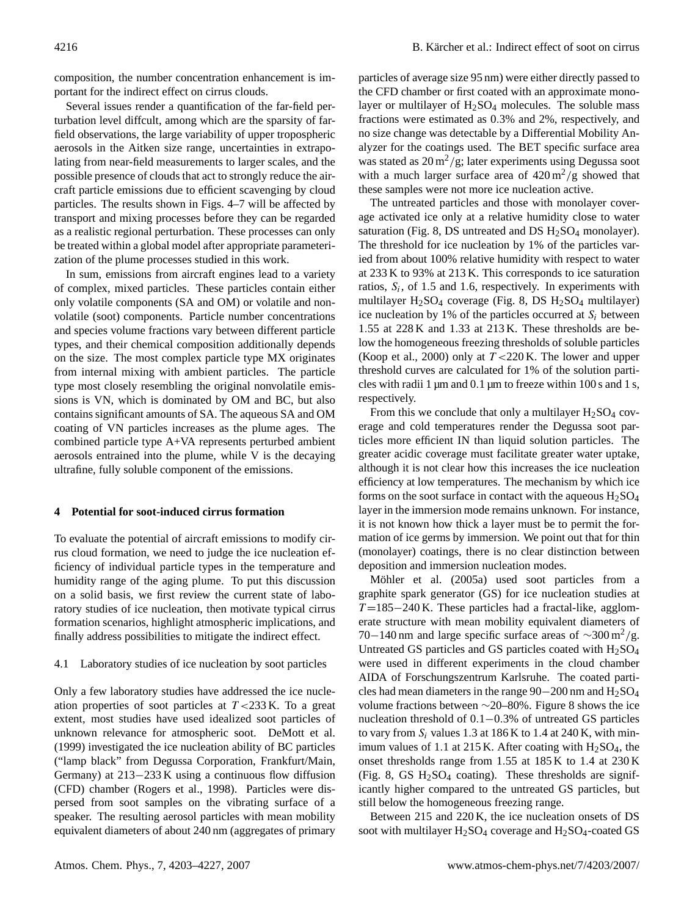composition, the number concentration enhancement is important for the indirect effect on cirrus clouds.

Several issues render a quantification of the far-field perturbation level diffcult, among which are the sparsity of farfield observations, the large variability of upper tropospheric aerosols in the Aitken size range, uncertainties in extrapolating from near-field measurements to larger scales, and the possible presence of clouds that act to strongly reduce the aircraft particle emissions due to efficient scavenging by cloud particles. The results shown in Figs. [4–](#page-7-0)[7](#page-12-0) will be affected by transport and mixing processes before they can be regarded as a realistic regional perturbation. These processes can only be treated within a global model after appropriate parameterization of the plume processes studied in this work.

In sum, emissions from aircraft engines lead to a variety of complex, mixed particles. These particles contain either only volatile components (SA and OM) or volatile and nonvolatile (soot) components. Particle number concentrations and species volume fractions vary between different particle types, and their chemical composition additionally depends on the size. The most complex particle type MX originates from internal mixing with ambient particles. The particle type most closely resembling the original nonvolatile emissions is VN, which is dominated by OM and BC, but also contains significant amounts of SA. The aqueous SA and OM coating of VN particles increases as the plume ages. The combined particle type A+VA represents perturbed ambient aerosols entrained into the plume, while V is the decaying ultrafine, fully soluble component of the emissions.

## <span id="page-13-0"></span>**4 Potential for soot-induced cirrus formation**

To evaluate the potential of aircraft emissions to modify cirrus cloud formation, we need to judge the ice nucleation efficiency of individual particle types in the temperature and humidity range of the aging plume. To put this discussion on a solid basis, we first review the current state of laboratory studies of ice nucleation, then motivate typical cirrus formation scenarios, highlight atmospheric implications, and finally address possibilities to mitigate the indirect effect.

## <span id="page-13-1"></span>4.1 Laboratory studies of ice nucleation by soot particles

Only a few laboratory studies have addressed the ice nucleation properties of soot particles at  $T < 233$  K. To a great extent, most studies have used idealized soot particles of unknown relevance for atmospheric soot. [DeMott et al.](#page-21-8) [\(1999\)](#page-21-8) investigated the ice nucleation ability of BC particles ("lamp black" from Degussa Corporation, Frankfurt/Main, Germany) at 213−233 K using a continuous flow diffusion (CFD) chamber [\(Rogers et al.,](#page-23-19) [1998\)](#page-23-19). Particles were dispersed from soot samples on the vibrating surface of a speaker. The resulting aerosol particles with mean mobility equivalent diameters of about 240 nm (aggregates of primary particles of average size 95 nm) were either directly passed to the CFD chamber or first coated with an approximate monolayer or multilayer of  $H<sub>2</sub>SO<sub>4</sub>$  molecules. The soluble mass fractions were estimated as 0.3% and 2%, respectively, and no size change was detectable by a Differential Mobility Analyzer for the coatings used. The BET specific surface area was stated as  $20 \,\mathrm{m}^2/\mathrm{g}$ ; later experiments using Degussa soot with a much larger surface area of  $420 \text{ m}^2/\text{g}$  showed that these samples were not more ice nucleation active.

The untreated particles and those with monolayer coverage activated ice only at a relative humidity close to water saturation (Fig. [8,](#page-14-0) DS untreated and DS  $H<sub>2</sub>SO<sub>4</sub>$  monolayer). The threshold for ice nucleation by 1% of the particles varied from about 100% relative humidity with respect to water at 233 K to 93% at 213 K. This corresponds to ice saturation ratios,  $S_i$ , of 1.5 and 1.6, respectively. In experiments with multilayer  $H_2SO_4$  coverage (Fig. [8,](#page-14-0) DS  $H_2SO_4$  multilayer) ice nucleation by 1% of the particles occurred at  $S_i$  between 1.55 at 228 K and 1.33 at 213 K. These thresholds are below the homogeneous freezing thresholds of soluble particles [\(Koop et al.,](#page-22-22) [2000\)](#page-22-22) only at  $T < 220$  K. The lower and upper threshold curves are calculated for 1% of the solution particles with radii 1  $\mu$ m and 0.1  $\mu$ m to freeze within 100 s and 1 s, respectively.

From this we conclude that only a multilayer  $H<sub>2</sub>SO<sub>4</sub>$  coverage and cold temperatures render the Degussa soot particles more efficient IN than liquid solution particles. The greater acidic coverage must facilitate greater water uptake, although it is not clear how this increases the ice nucleation efficiency at low temperatures. The mechanism by which ice forms on the soot surface in contact with the aqueous  $H_2SO_4$ layer in the immersion mode remains unknown. For instance, it is not known how thick a layer must be to permit the formation of ice germs by immersion. We point out that for thin (monolayer) coatings, there is no clear distinction between deposition and immersion nucleation modes.

Möhler et al. [\(2005a\)](#page-23-20) used soot particles from a graphite spark generator (GS) for ice nucleation studies at  $T = 185 - 240$  K. These particles had a fractal-like, agglomerate structure with mean mobility equivalent diameters of 70−140 nm and large specific surface areas of  $\sim$ 300 m<sup>2</sup>/g. Untreated GS particles and GS particles coated with  $H_2SO_4$ were used in different experiments in the cloud chamber AIDA of Forschungszentrum Karlsruhe. The coated particles had mean diameters in the range  $90-200$  nm and  $H_2SO_4$ volume fractions between ∼20–80%. Figure [8](#page-14-0) shows the ice nucleation threshold of 0.1−0.3% of untreated GS particles to vary from  $S_i$  values 1.3 at 186 K to 1.4 at 240 K, with minimum values of 1.1 at 215 K. After coating with  $H_2SO_4$ , the onset thresholds range from 1.55 at 185 K to 1.4 at 230 K (Fig. [8,](#page-14-0) GS  $H<sub>2</sub>SO<sub>4</sub>$  coating). These thresholds are significantly higher compared to the untreated GS particles, but still below the homogeneous freezing range.

Between 215 and 220 K, the ice nucleation onsets of DS soot with multilayer  $H_2SO_4$  coverage and  $H_2SO_4$ -coated GS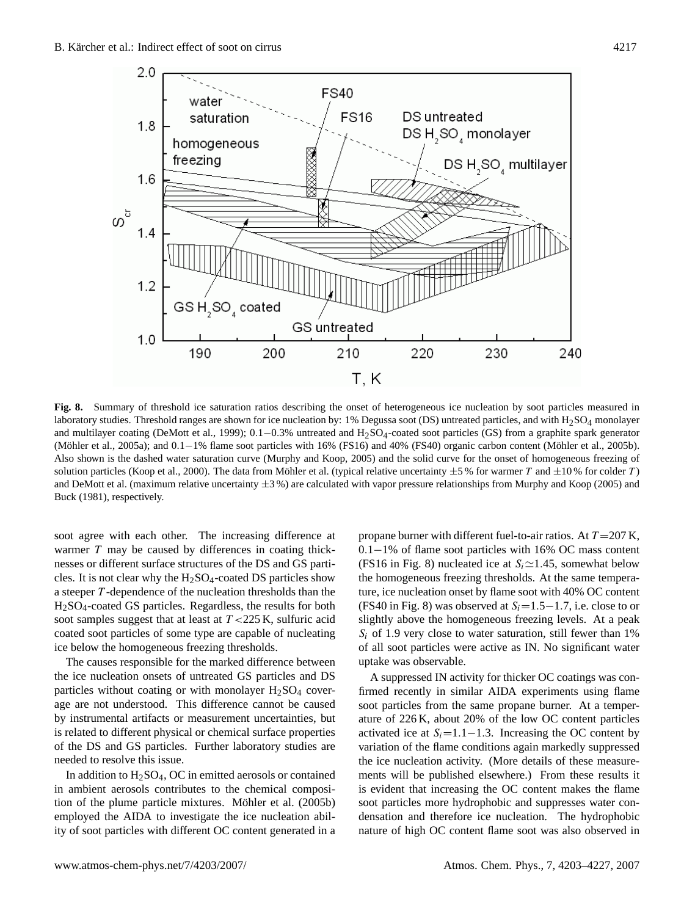

<span id="page-14-0"></span>**Fig. 8.** Summary of threshold ice saturation ratios describing the onset of heterogeneous ice nucleation by soot particles measured in laboratory studies. Threshold ranges are shown for ice nucleation by: 1% Degussa soot (DS) untreated particles, and with H<sub>2</sub>SO<sub>4</sub> monolayer and multilayer coating [\(DeMott et al.,](#page-21-8) [1999\)](#page-21-8); 0.1–0.3% untreated and H<sub>2</sub>SO<sub>4</sub>-coated soot particles (GS) from a graphite spark generator (Möhler et al., [2005a\)](#page-23-20); and 0.1−1% flame soot particles with 16% (FS16) and 40% (FS40) organic carbon content (Möhler et al., [2005b\)](#page-23-21). Also shown is the dashed water saturation curve [\(Murphy and Koop,](#page-23-22) [2005\)](#page-23-22) and the solid curve for the onset of homogeneous freezing of solution particles [\(Koop et al.,](#page-22-22) [2000\)](#page-22-22). The data from Möhler et al. (typical relative uncertainty  $\pm 5$ % for warmer T and  $\pm 10$ % for colder T) and DeMott et al. (maximum relative uncertainty  $\pm 3$ %) are calculated with vapor pressure relationships from [Murphy and Koop](#page-23-22) [\(2005\)](#page-23-22) and [Buck](#page-21-9) [\(1981\)](#page-21-9), respectively.

soot agree with each other. The increasing difference at warmer  $T$  may be caused by differences in coating thicknesses or different surface structures of the DS and GS particles. It is not clear why the  $H_2SO_4$ -coated DS particles show a steeper T -dependence of the nucleation thresholds than the H2SO4-coated GS particles. Regardless, the results for both soot samples suggest that at least at  $T < 225$  K, sulfuric acid coated soot particles of some type are capable of nucleating ice below the homogeneous freezing thresholds.

The causes responsible for the marked difference between the ice nucleation onsets of untreated GS particles and DS particles without coating or with monolayer  $H<sub>2</sub>SO<sub>4</sub>$  coverage are not understood. This difference cannot be caused by instrumental artifacts or measurement uncertainties, but is related to different physical or chemical surface properties of the DS and GS particles. Further laboratory studies are needed to resolve this issue.

In addition to  $H_2SO_4$ , OC in emitted aerosols or contained in ambient aerosols contributes to the chemical composition of the plume particle mixtures. Möhler et al.  $(2005b)$ employed the AIDA to investigate the ice nucleation ability of soot particles with different OC content generated in a

propane burner with different fuel-to-air ratios. At  $T = 207$  K, 0.1−1% of flame soot particles with 16% OC mass content (FS16 in Fig. [8\)](#page-14-0) nucleated ice at  $S<sub>i</sub> \approx 1.45$ , somewhat below the homogeneous freezing thresholds. At the same temperature, ice nucleation onset by flame soot with 40% OC content (FS40 in Fig. [8\)](#page-14-0) was observed at  $S_i=1.5-1.7$ , i.e. close to or slightly above the homogeneous freezing levels. At a peak  $S_i$  of 1.9 very close to water saturation, still fewer than 1% of all soot particles were active as IN. No significant water uptake was observable.

A suppressed IN activity for thicker OC coatings was confirmed recently in similar AIDA experiments using flame soot particles from the same propane burner. At a temperature of 226 K, about 20% of the low OC content particles activated ice at  $S_i=1.1-1.3$ . Increasing the OC content by variation of the flame conditions again markedly suppressed the ice nucleation activity. (More details of these measurements will be published elsewhere.) From these results it is evident that increasing the OC content makes the flame soot particles more hydrophobic and suppresses water condensation and therefore ice nucleation. The hydrophobic nature of high OC content flame soot was also observed in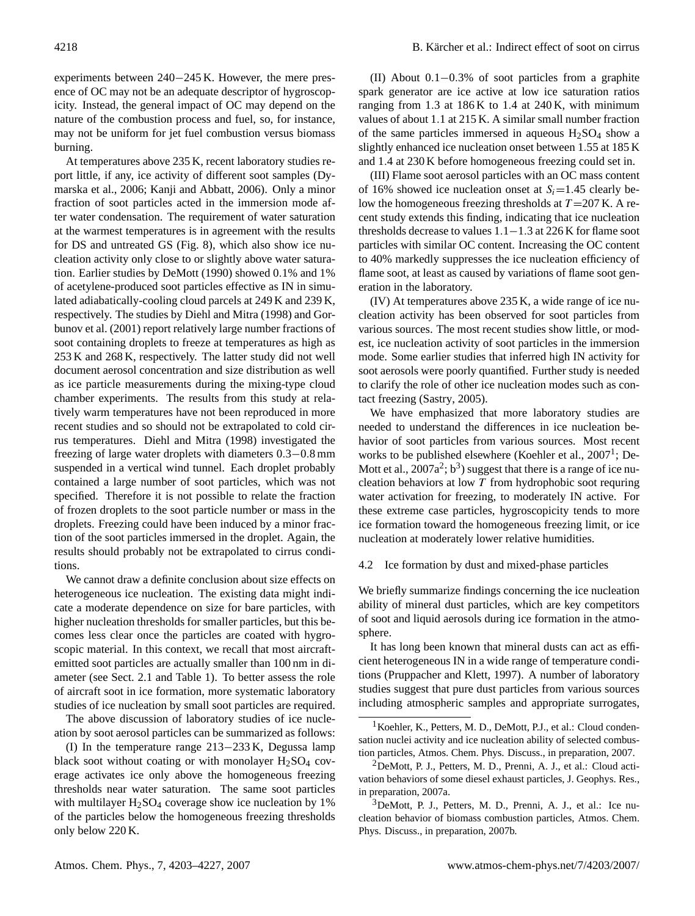experiments between 240−245 K. However, the mere presence of OC may not be an adequate descriptor of hygroscopicity. Instead, the general impact of OC may depend on the nature of the combustion process and fuel, so, for instance, may not be uniform for jet fuel combustion versus biomass burning.

At temperatures above 235 K, recent laboratory studies report little, if any, ice activity of different soot samples [\(Dy](#page-22-23)[marska et al.,](#page-22-23) [2006;](#page-22-23) [Kanji and Abbatt,](#page-22-24) [2006\)](#page-22-24). Only a minor fraction of soot particles acted in the immersion mode after water condensation. The requirement of water saturation at the warmest temperatures is in agreement with the results for DS and untreated GS (Fig. [8\)](#page-14-0), which also show ice nucleation activity only close to or slightly above water saturation. Earlier studies by [DeMott](#page-21-10) [\(1990\)](#page-21-10) showed 0.1% and 1% of acetylene-produced soot particles effective as IN in simulated adiabatically-cooling cloud parcels at 249 K and 239 K, respectively. The studies by [Diehl and Mitra](#page-21-11) [\(1998\)](#page-21-11) and [Gor](#page-22-25)[bunov et al.](#page-22-25) [\(2001\)](#page-22-25) report relatively large number fractions of soot containing droplets to freeze at temperatures as high as 253 K and 268 K, respectively. The latter study did not well document aerosol concentration and size distribution as well as ice particle measurements during the mixing-type cloud chamber experiments. The results from this study at relatively warm temperatures have not been reproduced in more recent studies and so should not be extrapolated to cold cirrus temperatures. [Diehl and Mitra](#page-21-11) [\(1998\)](#page-21-11) investigated the freezing of large water droplets with diameters 0.3−0.8 mm suspended in a vertical wind tunnel. Each droplet probably contained a large number of soot particles, which was not specified. Therefore it is not possible to relate the fraction of frozen droplets to the soot particle number or mass in the droplets. Freezing could have been induced by a minor fraction of the soot particles immersed in the droplet. Again, the results should probably not be extrapolated to cirrus conditions.

We cannot draw a definite conclusion about size effects on heterogeneous ice nucleation. The existing data might indicate a moderate dependence on size for bare particles, with higher nucleation thresholds for smaller particles, but this becomes less clear once the particles are coated with hygroscopic material. In this context, we recall that most aircraftemitted soot particles are actually smaller than 100 nm in diameter (see Sect. [2.1](#page-4-1) and Table [1\)](#page-3-1). To better assess the role of aircraft soot in ice formation, more systematic laboratory studies of ice nucleation by small soot particles are required.

The above discussion of laboratory studies of ice nucleation by soot aerosol particles can be summarized as follows:

(I) In the temperature range 213−233 K, Degussa lamp black soot without coating or with monolayer  $H_2SO_4$  coverage activates ice only above the homogeneous freezing thresholds near water saturation. The same soot particles with multilayer  $H_2SO_4$  coverage show ice nucleation by 1% of the particles below the homogeneous freezing thresholds only below 220 K.

(II) About 0.1−0.3% of soot particles from a graphite spark generator are ice active at low ice saturation ratios ranging from  $1.3$  at  $186K$  to  $1.4$  at  $240K$ , with minimum values of about 1.1 at 215 K. A similar small number fraction of the same particles immersed in aqueous  $H_2SO_4$  show a slightly enhanced ice nucleation onset between 1.55 at 185 K and 1.4 at 230 K before homogeneous freezing could set in.

(III) Flame soot aerosol particles with an OC mass content of 16% showed ice nucleation onset at  $S_i=1.45$  clearly below the homogeneous freezing thresholds at  $T = 207$  K. A recent study extends this finding, indicating that ice nucleation thresholds decrease to values 1.1−1.3 at 226 K for flame soot particles with similar OC content. Increasing the OC content to 40% markedly suppresses the ice nucleation efficiency of flame soot, at least as caused by variations of flame soot generation in the laboratory.

(IV) At temperatures above 235 K, a wide range of ice nucleation activity has been observed for soot particles from various sources. The most recent studies show little, or modest, ice nucleation activity of soot particles in the immersion mode. Some earlier studies that inferred high IN activity for soot aerosols were poorly quantified. Further study is needed to clarify the role of other ice nucleation modes such as contact freezing [\(Sastry,](#page-23-23) [2005\)](#page-23-23).

We have emphasized that more laboratory studies are needed to understand the differences in ice nucleation behavior of soot particles from various sources. Most recent works to be published elsewhere (Koehler et al.,  $2007<sup>1</sup>$  $2007<sup>1</sup>$  $2007<sup>1</sup>$ ; De-Mott et al.,  $2007a^2$  $2007a^2$ ;  $b^3$  $b^3$ ) suggest that there is a range of ice nucleation behaviors at low  $T$  from hydrophobic soot requring water activation for freezing, to moderately IN active. For these extreme case particles, hygroscopicity tends to more ice formation toward the homogeneous freezing limit, or ice nucleation at moderately lower relative humidities.

## <span id="page-15-0"></span>4.2 Ice formation by dust and mixed-phase particles

We briefly summarize findings concerning the ice nucleation ability of mineral dust particles, which are key competitors of soot and liquid aerosols during ice formation in the atmosphere.

It has long been known that mineral dusts can act as efficient heterogeneous IN in a wide range of temperature conditions [\(Pruppacher and Klett,](#page-23-24) [1997\)](#page-23-24). A number of laboratory studies suggest that pure dust particles from various sources including atmospheric samples and appropriate surrogates,

<span id="page-15-1"></span><sup>&</sup>lt;sup>1</sup> Koehler, K., Petters, M. D., DeMott, P.J., et al.: Cloud condensation nuclei activity and ice nucleation ability of selected combustion particles, Atmos. Chem. Phys. Discuss., in preparation, 2007.

<span id="page-15-2"></span> $2$ DeMott, P. J., Petters, M. D., Prenni, A. J., et al.: Cloud activation behaviors of some diesel exhaust particles, J. Geophys. Res., in preparation, 2007a.

<span id="page-15-3"></span><sup>3</sup>DeMott, P. J., Petters, M. D., Prenni, A. J., et al.: Ice nucleation behavior of biomass combustion particles, Atmos. Chem. Phys. Discuss., in preparation, 2007b.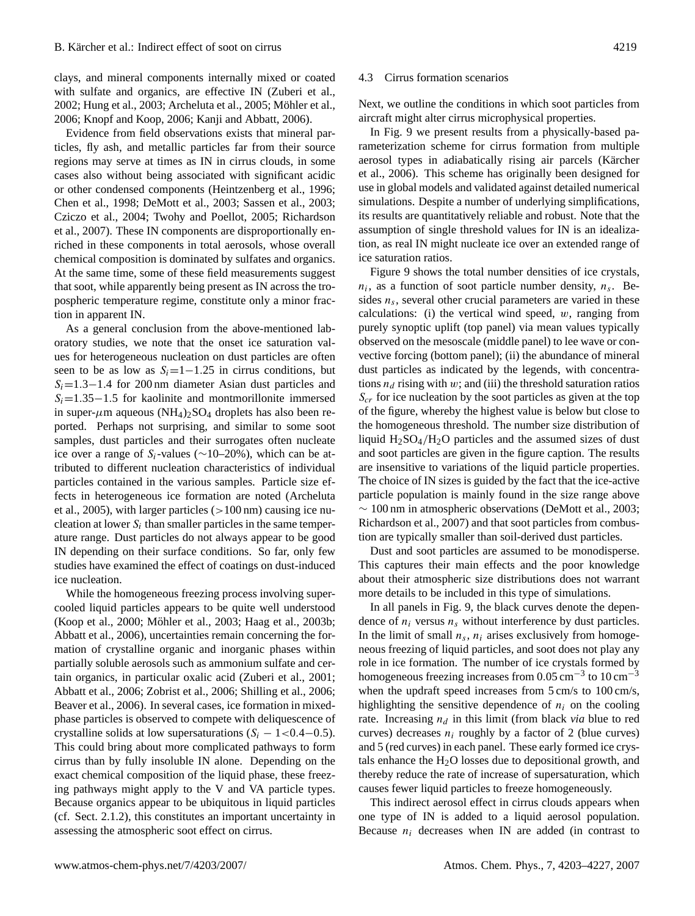clays, and mineral components internally mixed or coated with sulfate and organics, are effective IN [\(Zuberi et al.,](#page-24-11) [2002;](#page-24-11) [Hung et al.,](#page-22-26) [2003;](#page-22-26) [Archeluta et al.,](#page-21-12) [2005;](#page-21-12) Möhler et al., [2006;](#page-23-25) [Knopf and Koop,](#page-22-27) [2006;](#page-22-27) [Kanji and Abbatt,](#page-22-24) [2006\)](#page-22-24).

Evidence from field observations exists that mineral particles, fly ash, and metallic particles far from their source regions may serve at times as IN in cirrus clouds, in some cases also without being associated with significant acidic or other condensed components [\(Heintzenberg et al.,](#page-22-28) [1996;](#page-22-28) [Chen et al.,](#page-21-13) [1998;](#page-21-13) [DeMott et al.,](#page-21-14) [2003;](#page-21-14) [Sassen et al.,](#page-23-26) [2003;](#page-23-26) [Cziczo et al.,](#page-21-15) [2004;](#page-21-15) [Twohy and Poellot,](#page-24-12) [2005;](#page-24-12) [Richardson](#page-23-27) [et al.,](#page-23-27) [2007\)](#page-23-27). These IN components are disproportionally enriched in these components in total aerosols, whose overall chemical composition is dominated by sulfates and organics. At the same time, some of these field measurements suggest that soot, while apparently being present as IN across the tropospheric temperature regime, constitute only a minor fraction in apparent IN.

As a general conclusion from the above-mentioned laboratory studies, we note that the onset ice saturation values for heterogeneous nucleation on dust particles are often seen to be as low as  $S_i=1-1.25$  in cirrus conditions, but  $S_i=1.3-1.4$  for 200 nm diameter Asian dust particles and  $S_i=1.35-1.5$  for kaolinite and montmorillonite immersed in super- $\mu$ m aqueous (NH<sub>4</sub>)<sub>2</sub>SO<sub>4</sub> droplets has also been reported. Perhaps not surprising, and similar to some soot samples, dust particles and their surrogates often nucleate ice over a range of  $S_i$ -values (∼10–20%), which can be attributed to different nucleation characteristics of individual particles contained in the various samples. Particle size effects in heterogeneous ice formation are noted [\(Archeluta](#page-21-12) [et al.,](#page-21-12) [2005\)](#page-21-12), with larger particles  $(>100 \text{ nm})$  causing ice nucleation at lower  $S_i$  than smaller particles in the same temperature range. Dust particles do not always appear to be good IN depending on their surface conditions. So far, only few studies have examined the effect of coatings on dust-induced ice nucleation.

While the homogeneous freezing process involving supercooled liquid particles appears to be quite well understood [\(Koop et al.,](#page-22-22) [2000;](#page-22-22) Möhler et al., [2003;](#page-23-28) [Haag et al.,](#page-22-29) [2003b;](#page-22-29) [Abbatt et al.,](#page-21-16) [2006\)](#page-21-16), uncertainties remain concerning the formation of crystalline organic and inorganic phases within partially soluble aerosols such as ammonium sulfate and certain organics, in particular oxalic acid [\(Zuberi et al.,](#page-24-13) [2001;](#page-24-13) [Abbatt et al.,](#page-21-16) [2006;](#page-21-16) [Zobrist et al.,](#page-24-14) [2006;](#page-24-14) [Shilling et al.,](#page-24-15) [2006;](#page-24-15) [Beaver et al.,](#page-21-17) [2006\)](#page-21-17). In several cases, ice formation in mixedphase particles is observed to compete with deliquescence of crystalline solids at low supersaturations  $(S_i - 1 < 0.4 - 0.5)$ . This could bring about more complicated pathways to form cirrus than by fully insoluble IN alone. Depending on the exact chemical composition of the liquid phase, these freezing pathways might apply to the V and VA particle types. Because organics appear to be ubiquitous in liquid particles (cf. Sect. [2.1.2\)](#page-5-1), this constitutes an important uncertainty in assessing the atmospheric soot effect on cirrus.

## <span id="page-16-0"></span>4.3 Cirrus formation scenarios

Next, we outline the conditions in which soot particles from aircraft might alter cirrus microphysical properties.

In Fig. [9](#page-17-0) we present results from a physically-based parameterization scheme for cirrus formation from multiple aerosol types in adiabatically rising air parcels (Kärcher [et al.,](#page-22-11) [2006\)](#page-22-11). This scheme has originally been designed for use in global models and validated against detailed numerical simulations. Despite a number of underlying simplifications, its results are quantitatively reliable and robust. Note that the assumption of single threshold values for IN is an idealization, as real IN might nucleate ice over an extended range of ice saturation ratios.

Figure [9](#page-17-0) shows the total number densities of ice crystals,  $n_i$ , as a function of soot particle number density,  $n_s$ . Besides  $n<sub>s</sub>$ , several other crucial parameters are varied in these calculations: (i) the vertical wind speed,  $w$ , ranging from purely synoptic uplift (top panel) via mean values typically observed on the mesoscale (middle panel) to lee wave or convective forcing (bottom panel); (ii) the abundance of mineral dust particles as indicated by the legends, with concentrations  $n_d$  rising with w; and (iii) the threshold saturation ratios  $S_{cr}$  for ice nucleation by the soot particles as given at the top of the figure, whereby the highest value is below but close to the homogeneous threshold. The number size distribution of liquid  $H_2SO_4/H_2O$  particles and the assumed sizes of dust and soot particles are given in the figure caption. The results are insensitive to variations of the liquid particle properties. The choice of IN sizes is guided by the fact that the ice-active particle population is mainly found in the size range above  $\sim 100$  nm in atmospheric observations [\(DeMott et al.,](#page-21-14) [2003;](#page-21-14) [Richardson et al.,](#page-23-27) [2007\)](#page-23-27) and that soot particles from combustion are typically smaller than soil-derived dust particles.

Dust and soot particles are assumed to be monodisperse. This captures their main effects and the poor knowledge about their atmospheric size distributions does not warrant more details to be included in this type of simulations.

In all panels in Fig. [9,](#page-17-0) the black curves denote the dependence of  $n_i$  versus  $n_s$  without interference by dust particles. In the limit of small  $n_s$ ,  $n_i$  arises exclusively from homogeneous freezing of liquid particles, and soot does not play any role in ice formation. The number of ice crystals formed by homogeneous freezing increases from  $0.05 \text{ cm}^{-3}$  to  $10 \text{ cm}^{-3}$ when the updraft speed increases from  $5 \text{ cm/s}$  to  $100 \text{ cm/s}$ , highlighting the sensitive dependence of  $n_i$  on the cooling rate. Increasing  $n_d$  in this limit (from black *via* blue to red curves) decreases  $n_i$  roughly by a factor of 2 (blue curves) and 5 (red curves) in each panel. These early formed ice crystals enhance the  $H<sub>2</sub>O$  losses due to depositional growth, and thereby reduce the rate of increase of supersaturation, which causes fewer liquid particles to freeze homogeneously.

This indirect aerosol effect in cirrus clouds appears when one type of IN is added to a liquid aerosol population. Because  $n_i$  decreases when IN are added (in contrast to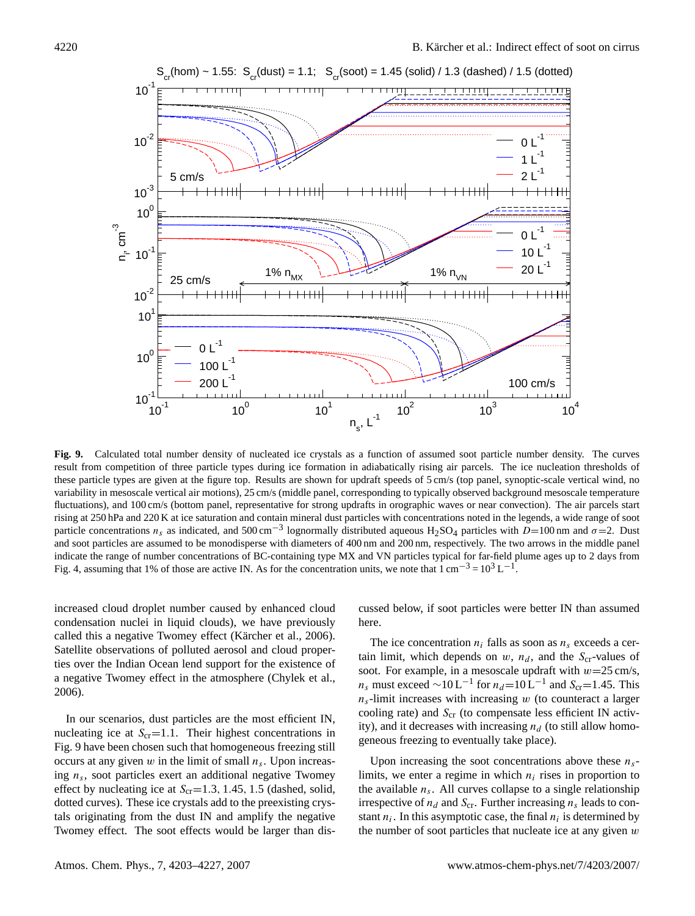

<span id="page-17-0"></span>**Fig. 9.** Calculated total number density of nucleated ice crystals as a function of assumed soot particle number density. The curves result from competition of three particle types during ice formation in adiabatically rising air parcels. The ice nucleation thresholds of these particle types are given at the figure top. Results are shown for updraft speeds of 5 cm/s (top panel, synoptic-scale vertical wind, no variability in mesoscale vertical air motions), 25 cm/s (middle panel, corresponding to typically observed background mesoscale temperature fluctuations), and 100 cm/s (bottom panel, representative for strong updrafts in orographic waves or near convection). The air parcels start rising at 250 hPa and 220 K at ice saturation and contain mineral dust particles with concentrations noted in the legends, a wide range of soot particle concentrations  $n_s$  as indicated, and 500 cm<sup>-3</sup> lognormally distributed aqueous H<sub>2</sub>SO<sub>4</sub> particles with  $D=100$  nm and  $\sigma=2$ . Dust and soot particles are assumed to be monodisperse with diameters of 400 nm and 200 nm, respectively. The two arrows in the middle panel indicate the range of number concentrations of BC-containing type MX and VN particles typical for far-field plume ages up to 2 days from Fig. [4,](#page-7-0) assuming that 1% of those are active IN. As for the concentration units, we note that  $1 \text{ cm}^{-3} = 10^3 \text{ L}^{-1}$ .

increased cloud droplet number caused by enhanced cloud condensation nuclei in liquid clouds), we have previously called this a negative Twomey effect (Kärcher et al., [2006\)](#page-22-11). Satellite observations of polluted aerosol and cloud properties over the Indian Ocean lend support for the existence of a negative Twomey effect in the atmosphere [\(Chylek et al.,](#page-21-18) [2006\)](#page-21-18).

In our scenarios, dust particles are the most efficient IN, nucleating ice at  $S_{cr}$ =1.1. Their highest concentrations in Fig. [9](#page-17-0) have been chosen such that homogeneous freezing still occurs at any given  $w$  in the limit of small  $n<sub>s</sub>$ . Upon increasing  $n<sub>s</sub>$ , soot particles exert an additional negative Twomey effect by nucleating ice at  $S_{cr}$ =1.3, 1.45, 1.5 (dashed, solid, dotted curves). These ice crystals add to the preexisting crystals originating from the dust IN and amplify the negative Twomey effect. The soot effects would be larger than discussed below, if soot particles were better IN than assumed here.

The ice concentration  $n_i$  falls as soon as  $n_s$  exceeds a certain limit, which depends on  $w$ ,  $n_d$ , and the S<sub>cr</sub>-values of soot. For example, in a mesoscale updraft with  $w=25$  cm/s,  $n_s$  must exceed ~10 L<sup>-1</sup> for  $n_d$ =10 L<sup>-1</sup> and S<sub>cr</sub>=1.45. This  $n<sub>s</sub>$ -limit increases with increasing w (to counteract a larger cooling rate) and  $S_{cr}$  (to compensate less efficient IN activity), and it decreases with increasing  $n_d$  (to still allow homogeneous freezing to eventually take place).

Upon increasing the soot concentrations above these  $n_s$ limits, we enter a regime in which  $n_i$  rises in proportion to the available  $n<sub>s</sub>$ . All curves collapse to a single relationship irrespective of  $n_d$  and  $S_{cr}$ . Further increasing  $n_s$  leads to constant  $n_i$ . In this asymptotic case, the final  $n_i$  is determined by the number of soot particles that nucleate ice at any given  $w$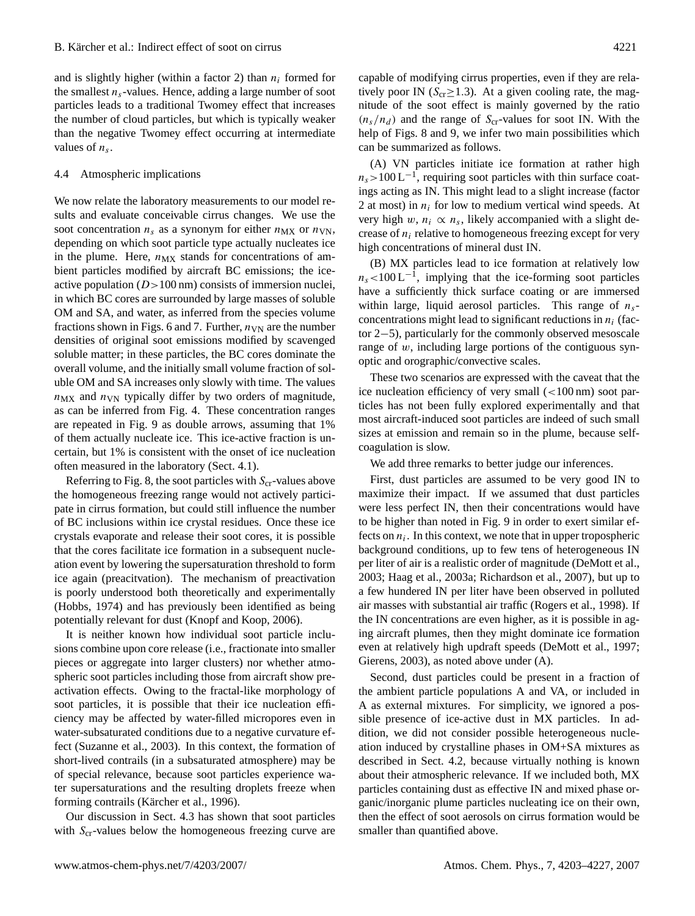and is slightly higher (within a factor 2) than  $n_i$  formed for the smallest  $n<sub>s</sub>$ -values. Hence, adding a large number of soot particles leads to a traditional Twomey effect that increases the number of cloud particles, but which is typically weaker than the negative Twomey effect occurring at intermediate values of  $n_s$ .

## <span id="page-18-0"></span>4.4 Atmospheric implications

We now relate the laboratory measurements to our model results and evaluate conceivable cirrus changes. We use the soot concentration  $n_s$  as a synonym for either  $n_{\text{MX}}$  or  $n_{\text{VN}}$ , depending on which soot particle type actually nucleates ice in the plume. Here,  $n_{\text{MX}}$  stands for concentrations of ambient particles modified by aircraft BC emissions; the iceactive population  $(D>100 \text{ nm})$  consists of immersion nuclei, in which BC cores are surrounded by large masses of soluble OM and SA, and water, as inferred from the species volume fractions shown in Figs. [6](#page-11-1) and [7.](#page-12-0) Further,  $n_{VN}$  are the number densities of original soot emissions modified by scavenged soluble matter; in these particles, the BC cores dominate the overall volume, and the initially small volume fraction of soluble OM and SA increases only slowly with time. The values  $n_{\text{MX}}$  and  $n_{\text{VN}}$  typically differ by two orders of magnitude, as can be inferred from Fig. [4.](#page-7-0) These concentration ranges are repeated in Fig. [9](#page-17-0) as double arrows, assuming that 1% of them actually nucleate ice. This ice-active fraction is uncertain, but 1% is consistent with the onset of ice nucleation often measured in the laboratory (Sect. [4.1\)](#page-13-1).

Referring to Fig. [8,](#page-14-0) the soot particles with  $S_{cr}$ -values above the homogeneous freezing range would not actively participate in cirrus formation, but could still influence the number of BC inclusions within ice crystal residues. Once these ice crystals evaporate and release their soot cores, it is possible that the cores facilitate ice formation in a subsequent nucleation event by lowering the supersaturation threshold to form ice again (preacitvation). The mechanism of preactivation is poorly understood both theoretically and experimentally [\(Hobbs,](#page-22-30) [1974\)](#page-22-30) and has previously been identified as being potentially relevant for dust [\(Knopf and Koop,](#page-22-27) [2006\)](#page-22-27).

It is neither known how individual soot particle inclusions combine upon core release (i.e., fractionate into smaller pieces or aggregate into larger clusters) nor whether atmospheric soot particles including those from aircraft show preactivation effects. Owing to the fractal-like morphology of soot particles, it is possible that their ice nucleation efficiency may be affected by water-filled micropores even in water-subsaturated conditions due to a negative curvature effect [\(Suzanne et al.,](#page-24-16) [2003\)](#page-24-16). In this context, the formation of short-lived contrails (in a subsaturated atmosphere) may be of special relevance, because soot particles experience water supersaturations and the resulting droplets freeze when forming contrails (Kärcher et al., [1996\)](#page-22-6).

Our discussion in Sect. [4.3](#page-16-0) has shown that soot particles with  $S_{cr}$ -values below the homogeneous freezing curve are

capable of modifying cirrus properties, even if they are relatively poor IN ( $S_{cr} \geq 1.3$ ). At a given cooling rate, the magnitude of the soot effect is mainly governed by the ratio  $(n_s/n_d)$  and the range of S<sub>cr</sub>-values for soot IN. With the help of Figs. [8](#page-14-0) and [9,](#page-17-0) we infer two main possibilities which can be summarized as follows.

(A) VN particles initiate ice formation at rather high  $n<sub>s</sub>$  > 100 L<sup>-1</sup>, requiring soot particles with thin surface coatings acting as IN. This might lead to a slight increase (factor 2 at most) in  $n_i$  for low to medium vertical wind speeds. At very high  $w, n_i \propto n_s$ , likely accompanied with a slight decrease of  $n_i$  relative to homogeneous freezing except for very high concentrations of mineral dust IN.

(B) MX particles lead to ice formation at relatively low  $n_s$ <100 L<sup>-1</sup>, implying that the ice-forming soot particles have a sufficiently thick surface coating or are immersed within large, liquid aerosol particles. This range of  $n<sub>s</sub>$ concentrations might lead to significant reductions in  $n_i$  (factor 2−5), particularly for the commonly observed mesoscale range of  $w$ , including large portions of the contiguous synoptic and orographic/convective scales.

These two scenarios are expressed with the caveat that the ice nucleation efficiency of very small (<100 nm) soot particles has not been fully explored experimentally and that most aircraft-induced soot particles are indeed of such small sizes at emission and remain so in the plume, because selfcoagulation is slow.

We add three remarks to better judge our inferences.

First, dust particles are assumed to be very good IN to maximize their impact. If we assumed that dust particles were less perfect IN, then their concentrations would have to be higher than noted in Fig. [9](#page-17-0) in order to exert similar effects on  $n_i$ . In this context, we note that in upper tropospheric background conditions, up to few tens of heterogeneous IN per liter of air is a realistic order of magnitude [\(DeMott et al.,](#page-21-14) [2003;](#page-21-14) [Haag et al.,](#page-22-31) [2003a;](#page-22-31) [Richardson et al.,](#page-23-27) [2007\)](#page-23-27), but up to a few hundered IN per liter have been observed in polluted air masses with substantial air traffic [\(Rogers et al.,](#page-23-19) [1998\)](#page-23-19). If the IN concentrations are even higher, as it is possible in aging aircraft plumes, then they might dominate ice formation even at relatively high updraft speeds [\(DeMott et al.,](#page-21-5) [1997;](#page-21-5) [Gierens,](#page-22-32) [2003\)](#page-22-32), as noted above under (A).

Second, dust particles could be present in a fraction of the ambient particle populations A and VA, or included in A as external mixtures. For simplicity, we ignored a possible presence of ice-active dust in MX particles. In addition, we did not consider possible heterogeneous nucleation induced by crystalline phases in OM+SA mixtures as described in Sect. [4.2,](#page-15-0) because virtually nothing is known about their atmospheric relevance. If we included both, MX particles containing dust as effective IN and mixed phase organic/inorganic plume particles nucleating ice on their own, then the effect of soot aerosols on cirrus formation would be smaller than quantified above.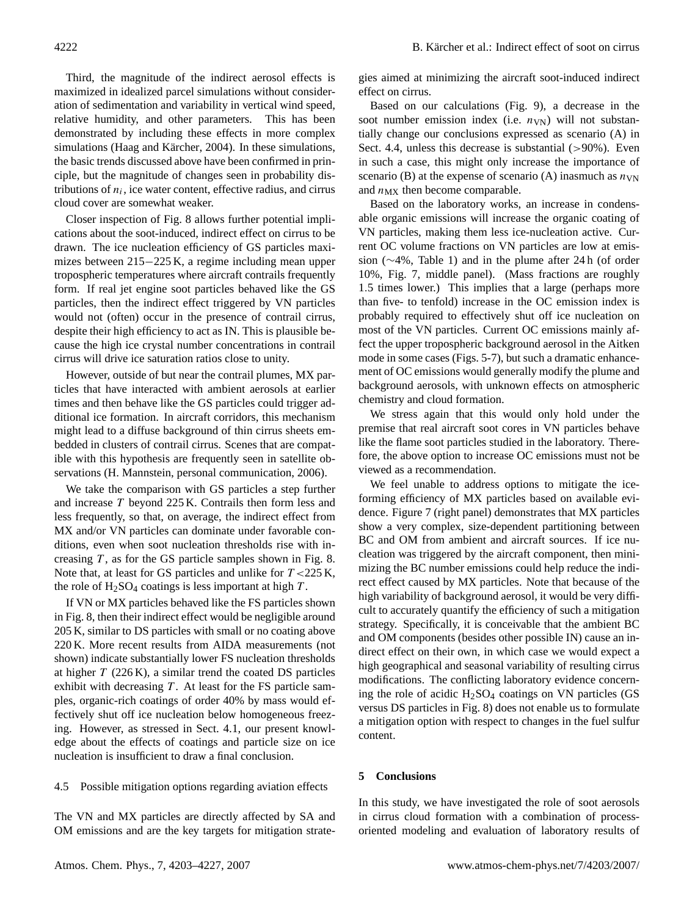Third, the magnitude of the indirect aerosol effects is maximized in idealized parcel simulations without consideration of sedimentation and variability in vertical wind speed, relative humidity, and other parameters. This has been demonstrated by including these effects in more complex simulations (Haag and Kärcher, [2004\)](#page-22-33). In these simulations, the basic trends discussed above have been confirmed in principle, but the magnitude of changes seen in probability distributions of  $n_i$ , ice water content, effective radius, and cirrus cloud cover are somewhat weaker.

Closer inspection of Fig. [8](#page-14-0) allows further potential implications about the soot-induced, indirect effect on cirrus to be drawn. The ice nucleation efficiency of GS particles maximizes between 215−225 K, a regime including mean upper tropospheric temperatures where aircraft contrails frequently form. If real jet engine soot particles behaved like the GS particles, then the indirect effect triggered by VN particles would not (often) occur in the presence of contrail cirrus, despite their high efficiency to act as IN. This is plausible because the high ice crystal number concentrations in contrail cirrus will drive ice saturation ratios close to unity.

However, outside of but near the contrail plumes, MX particles that have interacted with ambient aerosols at earlier times and then behave like the GS particles could trigger additional ice formation. In aircraft corridors, this mechanism might lead to a diffuse background of thin cirrus sheets embedded in clusters of contrail cirrus. Scenes that are compatible with this hypothesis are frequently seen in satellite observations (H. Mannstein, personal communication, 2006).

We take the comparison with GS particles a step further and increase T beyond 225 K. Contrails then form less and less frequently, so that, on average, the indirect effect from MX and/or VN particles can dominate under favorable conditions, even when soot nucleation thresholds rise with increasing  $T$ , as for the GS particle samples shown in Fig. [8.](#page-14-0) Note that, at least for GS particles and unlike for  $T < 225$  K, the role of  $H_2SO_4$  coatings is less important at high  $T$ .

If VN or MX particles behaved like the FS particles shown in Fig. [8,](#page-14-0) then their indirect effect would be negligible around 205 K, similar to DS particles with small or no coating above 220 K. More recent results from AIDA measurements (not shown) indicate substantially lower FS nucleation thresholds at higher  $T$  (226 K), a similar trend the coated DS particles exhibit with decreasing  $T$ . At least for the FS particle samples, organic-rich coatings of order 40% by mass would effectively shut off ice nucleation below homogeneous freezing. However, as stressed in Sect. [4.1,](#page-13-1) our present knowledge about the effects of coatings and particle size on ice nucleation is insufficient to draw a final conclusion.

<span id="page-19-1"></span>4.5 Possible mitigation options regarding aviation effects

The VN and MX particles are directly affected by SA and OM emissions and are the key targets for mitigation strate-

gies aimed at minimizing the aircraft soot-induced indirect effect on cirrus.

Based on our calculations (Fig. [9\)](#page-17-0), a decrease in the soot number emission index (i.e.  $n_{\rm VN}$ ) will not substantially change our conclusions expressed as scenario (A) in Sect. [4.4,](#page-18-0) unless this decrease is substantial  $(>90\%)$ . Even in such a case, this might only increase the importance of scenario (B) at the expense of scenario (A) inasmuch as  $n_{\rm VN}$ and  $n_{\text{MX}}$  then become comparable.

Based on the laboratory works, an increase in condensable organic emissions will increase the organic coating of VN particles, making them less ice-nucleation active. Current OC volume fractions on VN particles are low at emission (∼4%, Table [1\)](#page-3-1) and in the plume after 24 h (of order 10%, Fig. [7,](#page-12-0) middle panel). (Mass fractions are roughly 1.5 times lower.) This implies that a large (perhaps more than five- to tenfold) increase in the OC emission index is probably required to effectively shut off ice nucleation on most of the VN particles. Current OC emissions mainly affect the upper tropospheric background aerosol in the Aitken mode in some cases (Figs. [5-](#page-11-0)[7\)](#page-12-0), but such a dramatic enhancement of OC emissions would generally modify the plume and background aerosols, with unknown effects on atmospheric chemistry and cloud formation.

We stress again that this would only hold under the premise that real aircraft soot cores in VN particles behave like the flame soot particles studied in the laboratory. Therefore, the above option to increase OC emissions must not be viewed as a recommendation.

We feel unable to address options to mitigate the iceforming efficiency of MX particles based on available evidence. Figure [7](#page-12-0) (right panel) demonstrates that MX particles show a very complex, size-dependent partitioning between BC and OM from ambient and aircraft sources. If ice nucleation was triggered by the aircraft component, then minimizing the BC number emissions could help reduce the indirect effect caused by MX particles. Note that because of the high variability of background aerosol, it would be very difficult to accurately quantify the efficiency of such a mitigation strategy. Specifically, it is conceivable that the ambient BC and OM components (besides other possible IN) cause an indirect effect on their own, in which case we would expect a high geographical and seasonal variability of resulting cirrus modifications. The conflicting laboratory evidence concerning the role of acidic  $H_2SO_4$  coatings on VN particles (GS versus DS particles in Fig. [8\)](#page-14-0) does not enable us to formulate a mitigation option with respect to changes in the fuel sulfur content.

## <span id="page-19-0"></span>**5 Conclusions**

In this study, we have investigated the role of soot aerosols in cirrus cloud formation with a combination of processoriented modeling and evaluation of laboratory results of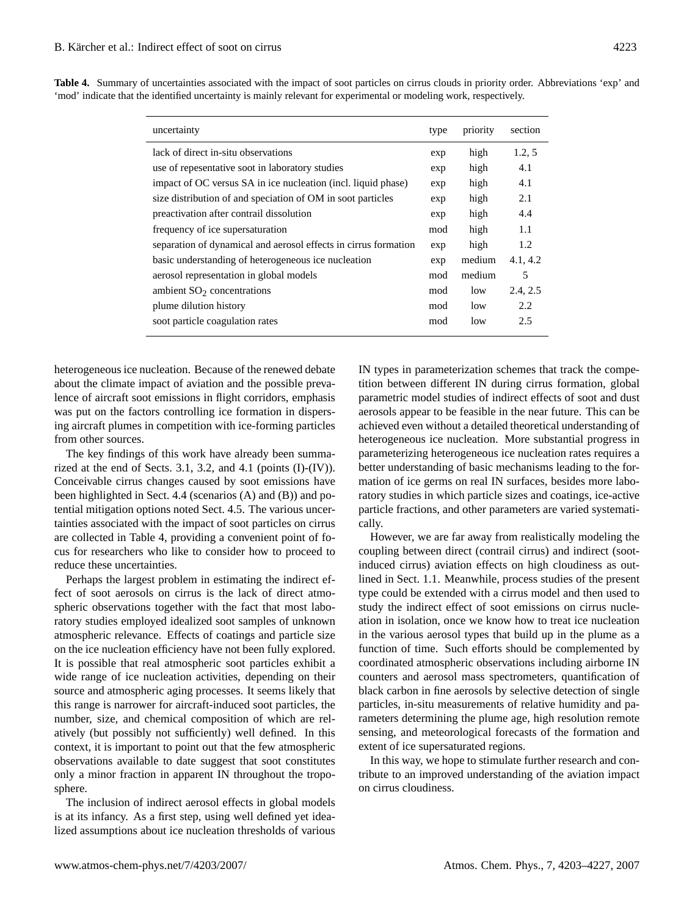| uncertainty                                                     | type | priority | section  |
|-----------------------------------------------------------------|------|----------|----------|
| lack of direct in-situ observations                             | exp  | high     | 1.2, 5   |
| use of repesentative soot in laboratory studies                 | exp  | high     | 4.1      |
| impact of OC versus SA in ice nucleation (incl. liquid phase)   | exp  | high     | 4.1      |
| size distribution of and speciation of OM in soot particles     | exp  | high     | 2.1      |
| preactivation after contrail dissolution                        | exp  | high     | 4.4      |
| frequency of ice supersaturation                                | mod  | high     | 1.1      |
| separation of dynamical and aerosol effects in cirrus formation | exp  | high     | 1.2      |
| basic understanding of heterogeneous ice nucleation             | exp  | medium   | 4.1, 4.2 |
| aerosol representation in global models                         | mod  | medium   | 5        |
| ambient $SO2$ concentrations                                    | mod  | low      | 2.4, 2.5 |
| plume dilution history                                          | mod  | low      | 2.2.     |
| soot particle coagulation rates                                 | mod  | low      | 2.5      |
|                                                                 |      |          |          |

<span id="page-20-0"></span>**Table 4.** Summary of uncertainties associated with the impact of soot particles on cirrus clouds in priority order. Abbreviations 'exp' and 'mod' indicate that the identified uncertainty is mainly relevant for experimental or modeling work, respectively.

heterogeneous ice nucleation. Because of the renewed debate about the climate impact of aviation and the possible prevalence of aircraft soot emissions in flight corridors, emphasis was put on the factors controlling ice formation in dispersing aircraft plumes in competition with ice-forming particles from other sources.

The key findings of this work have already been summarized at the end of Sects. [3.1,](#page-9-1) [3.2,](#page-10-0) and [4.1](#page-13-1) (points (I)-(IV)). Conceivable cirrus changes caused by soot emissions have been highlighted in Sect. [4.4](#page-18-0) (scenarios (A) and (B)) and potential mitigation options noted Sect. [4.5.](#page-19-1) The various uncertainties associated with the impact of soot particles on cirrus are collected in Table [4,](#page-20-0) providing a convenient point of focus for researchers who like to consider how to proceed to reduce these uncertainties.

Perhaps the largest problem in estimating the indirect effect of soot aerosols on cirrus is the lack of direct atmospheric observations together with the fact that most laboratory studies employed idealized soot samples of unknown atmospheric relevance. Effects of coatings and particle size on the ice nucleation efficiency have not been fully explored. It is possible that real atmospheric soot particles exhibit a wide range of ice nucleation activities, depending on their source and atmospheric aging processes. It seems likely that this range is narrower for aircraft-induced soot particles, the number, size, and chemical composition of which are relatively (but possibly not sufficiently) well defined. In this context, it is important to point out that the few atmospheric observations available to date suggest that soot constitutes only a minor fraction in apparent IN throughout the troposphere.

The inclusion of indirect aerosol effects in global models is at its infancy. As a first step, using well defined yet idealized assumptions about ice nucleation thresholds of various IN types in parameterization schemes that track the competition between different IN during cirrus formation, global parametric model studies of indirect effects of soot and dust aerosols appear to be feasible in the near future. This can be achieved even without a detailed theoretical understanding of heterogeneous ice nucleation. More substantial progress in parameterizing heterogeneous ice nucleation rates requires a better understanding of basic mechanisms leading to the formation of ice germs on real IN surfaces, besides more laboratory studies in which particle sizes and coatings, ice-active particle fractions, and other parameters are varied systematically.

However, we are far away from realistically modeling the coupling between direct (contrail cirrus) and indirect (sootinduced cirrus) aviation effects on high cloudiness as outlined in Sect. [1.1.](#page-1-0) Meanwhile, process studies of the present type could be extended with a cirrus model and then used to study the indirect effect of soot emissions on cirrus nucleation in isolation, once we know how to treat ice nucleation in the various aerosol types that build up in the plume as a function of time. Such efforts should be complemented by coordinated atmospheric observations including airborne IN counters and aerosol mass spectrometers, quantification of black carbon in fine aerosols by selective detection of single particles, in-situ measurements of relative humidity and parameters determining the plume age, high resolution remote sensing, and meteorological forecasts of the formation and extent of ice supersaturated regions.

In this way, we hope to stimulate further research and contribute to an improved understanding of the aviation impact on cirrus cloudiness.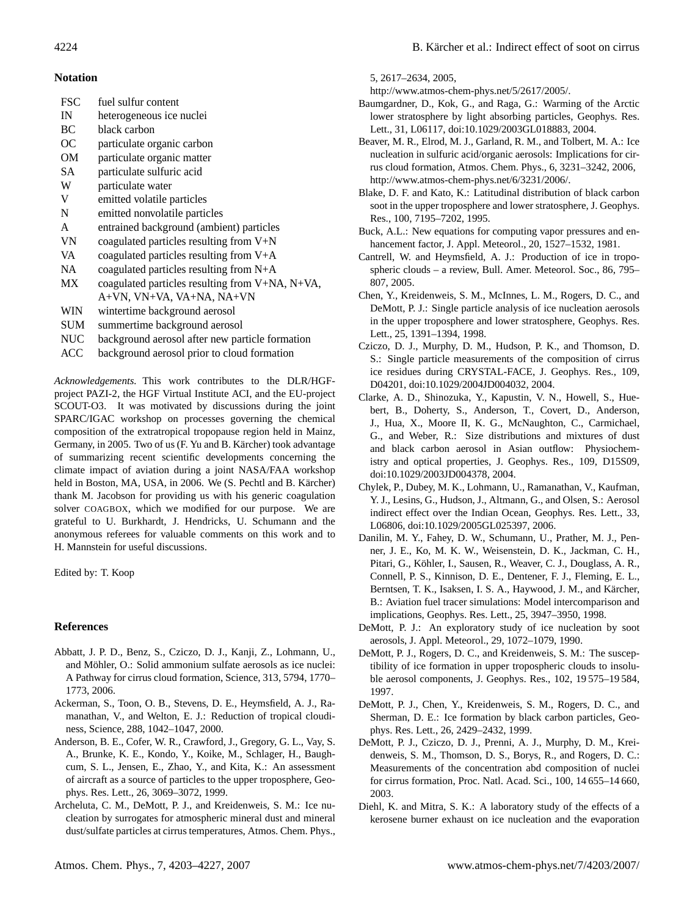## **Notation**

| FSC | fuel sulfur content                                   |
|-----|-------------------------------------------------------|
| IN  | heterogeneous ice nuclei                              |
| BС  | black carbon                                          |
| OС  | particulate organic carbon                            |
| OМ  | particulate organic matter                            |
| SА  | particulate sulfuric acid                             |
| W   | particulate water                                     |
| V   | emitted volatile particles                            |
| N   | emitted nonvolatile particles                         |
| A   | entrained background (ambient) particles              |
| VN  | coagulated particles resulting from $V+N$             |
| VA  | coagulated particles resulting from $V+A$             |
| NA  | coagulated particles resulting from $N+A$             |
| МX  | coagulated particles resulting from $V+NA$ , $N+VA$ , |
|     | A+VN, VN+VA, VA+NA, NA+VN                             |
| WIN | wintertime background aerosol                         |
| SUM | summertime background aerosol                         |
| NUC | background aerosol after new particle formation       |

ACC background aerosol prior to cloud formation

*Acknowledgements.* This work contributes to the DLR/HGFproject PAZI-2, the HGF Virtual Institute ACI, and the EU-project SCOUT-O3. It was motivated by discussions during the joint SPARC/IGAC workshop on processes governing the chemical composition of the extratropical tropopause region held in Mainz, Germany, in 2005. Two of us (F. Yu and B. Kärcher) took advantage of summarizing recent scientific developments concerning the climate impact of aviation during a joint NASA/FAA workshop held in Boston, MA, USA, in 2006. We (S. Pechtl and B. Kärcher) thank M. Jacobson for providing us with his generic coagulation solver COAGBOX, which we modified for our purpose. We are grateful to U. Burkhardt, J. Hendricks, U. Schumann and the anonymous referees for valuable comments on this work and to H. Mannstein for useful discussions.

Edited by: T. Koop

## **References**

- <span id="page-21-16"></span>Abbatt, J. P. D., Benz, S., Cziczo, D. J., Kanji, Z., Lohmann, U., and Möhler, O.: Solid ammonium sulfate aerosols as ice nuclei: A Pathway for cirrus cloud formation, Science, 313, 5794, 1770– 1773, 2006.
- <span id="page-21-3"></span>Ackerman, S., Toon, O. B., Stevens, D. E., Heymsfield, A. J., Ramanathan, V., and Welton, E. J.: Reduction of tropical cloudiness, Science, 288, 1042–1047, 2000.
- <span id="page-21-6"></span>Anderson, B. E., Cofer, W. R., Crawford, J., Gregory, G. L., Vay, S. A., Brunke, K. E., Kondo, Y., Koike, M., Schlager, H., Baughcum, S. L., Jensen, E., Zhao, Y., and Kita, K.: An assessment of aircraft as a source of particles to the upper troposphere, Geophys. Res. Lett., 26, 3069–3072, 1999.
- <span id="page-21-12"></span>Archeluta, C. M., DeMott, P. J., and Kreidenweis, S. M.: Ice nucleation by surrogates for atmospheric mineral dust and mineral dust/sulfate particles at cirrus temperatures, Atmos. Chem. Phys.,

5, 2617–2634, 2005,

[http://www.atmos-chem-phys.net/5/2617/2005/.](http://www.atmos-chem-phys.net/5/2617/2005/)

- <span id="page-21-2"></span>Baumgardner, D., Kok, G., and Raga, G.: Warming of the Arctic lower stratosphere by light absorbing particles, Geophys. Res. Lett., 31, L06117, doi:10.1029/2003GL018883, 2004.
- <span id="page-21-17"></span>Beaver, M. R., Elrod, M. J., Garland, R. M., and Tolbert, M. A.: Ice nucleation in sulfuric acid/organic aerosols: Implications for cirrus cloud formation, Atmos. Chem. Phys., 6, 3231–3242, 2006, [http://www.atmos-chem-phys.net/6/3231/2006/.](http://www.atmos-chem-phys.net/6/3231/2006/)
- <span id="page-21-0"></span>Blake, D. F. and Kato, K.: Latitudinal distribution of black carbon soot in the upper troposphere and lower stratosphere, J. Geophys. Res., 100, 7195–7202, 1995.
- <span id="page-21-9"></span>Buck, A.L.: New equations for computing vapor pressures and enhancement factor, J. Appl. Meteorol., 20, 1527–1532, 1981.
- <span id="page-21-4"></span>Cantrell, W. and Heymsfield, A. J.: Production of ice in tropospheric clouds – a review, Bull. Amer. Meteorol. Soc., 86, 795– 807, 2005.
- <span id="page-21-13"></span>Chen, Y., Kreidenweis, S. M., McInnes, L. M., Rogers, D. C., and DeMott, P. J.: Single particle analysis of ice nucleation aerosols in the upper troposphere and lower stratosphere, Geophys. Res. Lett., 25, 1391–1394, 1998.
- <span id="page-21-15"></span>Cziczo, D. J., Murphy, D. M., Hudson, P. K., and Thomson, D. S.: Single particle measurements of the composition of cirrus ice residues during CRYSTAL-FACE, J. Geophys. Res., 109, D04201, doi:10.1029/2004JD004032, 2004.
- <span id="page-21-1"></span>Clarke, A. D., Shinozuka, Y., Kapustin, V. N., Howell, S., Huebert, B., Doherty, S., Anderson, T., Covert, D., Anderson, J., Hua, X., Moore II, K. G., McNaughton, C., Carmichael, G., and Weber, R.: Size distributions and mixtures of dust and black carbon aerosol in Asian outflow: Physiochemistry and optical properties, J. Geophys. Res., 109, D15S09, doi:10.1029/2003JD004378, 2004.
- <span id="page-21-18"></span>Chylek, P., Dubey, M. K., Lohmann, U., Ramanathan, V., Kaufman, Y. J., Lesins, G., Hudson, J., Altmann, G., and Olsen, S.: Aerosol indirect effect over the Indian Ocean, Geophys. Res. Lett., 33, L06806, doi:10.1029/2005GL025397, 2006.
- <span id="page-21-7"></span>Danilin, M. Y., Fahey, D. W., Schumann, U., Prather, M. J., Penner, J. E., Ko, M. K. W., Weisenstein, D. K., Jackman, C. H., Pitari, G., Köhler, I., Sausen, R., Weaver, C. J., Douglass, A. R., Connell, P. S., Kinnison, D. E., Dentener, F. J., Fleming, E. L., Berntsen, T. K., Isaksen, I. S. A., Haywood, J. M., and Kärcher, B.: Aviation fuel tracer simulations: Model intercomparison and implications, Geophys. Res. Lett., 25, 3947–3950, 1998.
- <span id="page-21-10"></span>DeMott, P. J.: An exploratory study of ice nucleation by soot aerosols, J. Appl. Meteorol., 29, 1072–1079, 1990.
- <span id="page-21-5"></span>DeMott, P. J., Rogers, D. C., and Kreidenweis, S. M.: The susceptibility of ice formation in upper tropospheric clouds to insoluble aerosol components, J. Geophys. Res., 102, 19 575–19 584, 1997.
- <span id="page-21-8"></span>DeMott, P. J., Chen, Y., Kreidenweis, S. M., Rogers, D. C., and Sherman, D. E.: Ice formation by black carbon particles, Geophys. Res. Lett., 26, 2429–2432, 1999.
- <span id="page-21-14"></span>DeMott, P. J., Cziczo, D. J., Prenni, A. J., Murphy, D. M., Kreidenweis, S. M., Thomson, D. S., Borys, R., and Rogers, D. C.: Measurements of the concentration abd composition of nuclei for cirrus formation, Proc. Natl. Acad. Sci., 100, 14 655–14 660, 2003.
- <span id="page-21-11"></span>Diehl, K. and Mitra, S. K.: A laboratory study of the effects of a kerosene burner exhaust on ice nucleation and the evaporation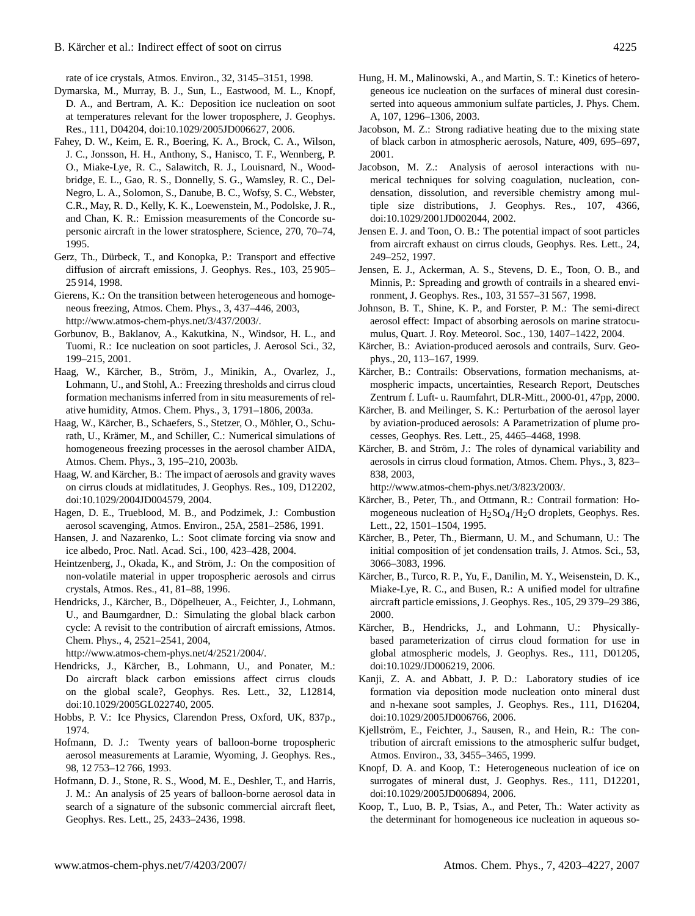rate of ice crystals, Atmos. Environ., 32, 3145–3151, 1998.

- <span id="page-22-23"></span>Dymarska, M., Murray, B. J., Sun, L., Eastwood, M. L., Knopf, D. A., and Bertram, A. K.: Deposition ice nucleation on soot at temperatures relevant for the lower troposphere, J. Geophys. Res., 111, D04204, doi:10.1029/2005JD006627, 2006.
- <span id="page-22-19"></span>Fahey, D. W., Keim, E. R., Boering, K. A., Brock, C. A., Wilson, J. C., Jonsson, H. H., Anthony, S., Hanisco, T. F., Wennberg, P. O., Miake-Lye, R. C., Salawitch, R. J., Louisnard, N., Woodbridge, E. L., Gao, R. S., Donnelly, S. G., Wamsley, R. C., Del-Negro, L. A., Solomon, S., Danube, B. C., Wofsy, S. C., Webster, C.R., May, R. D., Kelly, K. K., Loewenstein, M., Podolske, J. R., and Chan, K. R.: Emission measurements of the Concorde supersonic aircraft in the lower stratosphere, Science, 270, 70–74, 1995.
- <span id="page-22-16"></span>Gerz, Th., Dürbeck, T., and Konopka, P.: Transport and effective diffusion of aircraft emissions, J. Geophys. Res., 103, 25 905– 25 914, 1998.
- <span id="page-22-32"></span>Gierens, K.: On the transition between heterogeneous and homogeneous freezing, Atmos. Chem. Phys., 3, 437–446, 2003, [http://www.atmos-chem-phys.net/3/437/2003/.](http://www.atmos-chem-phys.net/3/437/2003/)
- <span id="page-22-25"></span>Gorbunov, B., Baklanov, A., Kakutkina, N., Windsor, H. L., and Tuomi, R.: Ice nucleation on soot particles, J. Aerosol Sci., 32, 199–215, 2001.
- <span id="page-22-31"></span>Haag, W., Kärcher, B., Ström, J., Minikin, A., Ovarlez, J., Lohmann, U., and Stohl, A.: Freezing thresholds and cirrus cloud formation mechanisms inferred from in situ measurements of relative humidity, Atmos. Chem. Phys., 3, 1791–1806, 2003a.
- <span id="page-22-29"></span>Haag, W., Kärcher, B., Schaefers, S., Stetzer, O., Möhler, O., Schurath, U., Krämer, M., and Schiller, C.: Numerical simulations of homogeneous freezing processes in the aerosol chamber AIDA, Atmos. Chem. Phys., 3, 195–210, 2003b.
- <span id="page-22-33"></span>Haag, W. and Kärcher, B.: The impact of aerosols and gravity waves on cirrus clouds at midlatitudes, J. Geophys. Res., 109, D12202, doi:10.1029/2004JD004579, 2004.
- <span id="page-22-18"></span>Hagen, D. E., Trueblood, M. B., and Podzimek, J.: Combustion aerosol scavenging, Atmos. Environ., 25A, 2581–2586, 1991.
- <span id="page-22-1"></span>Hansen, J. and Nazarenko, L.: Soot climate forcing via snow and ice albedo, Proc. Natl. Acad. Sci., 100, 423–428, 2004.
- <span id="page-22-28"></span>Heintzenberg, J., Okada, K., and Ström, J.: On the composition of non-volatile material in upper tropospheric aerosols and cirrus crystals, Atmos. Res., 41, 81–88, 1996.
- <span id="page-22-3"></span>Hendricks, J., Kärcher, B., Döpelheuer, A., Feichter, J., Lohmann, U., and Baumgardner, D.: Simulating the global black carbon cycle: A revisit to the contribution of aircraft emissions, Atmos. Chem. Phys., 4, 2521–2541, 2004,

[http://www.atmos-chem-phys.net/4/2521/2004/.](http://www.atmos-chem-phys.net/4/2521/2004/)

- <span id="page-22-4"></span>Hendricks, J., Kärcher, B., Lohmann, U., and Ponater, M.: Do aircraft black carbon emissions affect cirrus clouds on the global scale?, Geophys. Res. Lett., 32, L12814, doi:10.1029/2005GL022740, 2005.
- <span id="page-22-30"></span>Hobbs, P. V.: Ice Physics, Clarendon Press, Oxford, UK, 837p., 1974.
- <span id="page-22-15"></span>Hofmann, D. J.: Twenty years of balloon-borne tropospheric aerosol measurements at Laramie, Wyoming, J. Geophys. Res., 98, 12 753–12 766, 1993.
- <span id="page-22-20"></span>Hofmann, D. J., Stone, R. S., Wood, M. E., Deshler, T., and Harris, J. M.: An analysis of 25 years of balloon-borne aerosol data in search of a signature of the subsonic commercial aircraft fleet, Geophys. Res. Lett., 25, 2433–2436, 1998.
- <span id="page-22-26"></span>Hung, H. M., Malinowski, A., and Martin, S. T.: Kinetics of heterogeneous ice nucleation on the surfaces of mineral dust coresinserted into aqueous ammonium sulfate particles, J. Phys. Chem. A, 107, 1296–1306, 2003.
- <span id="page-22-0"></span>Jacobson, M. Z.: Strong radiative heating due to the mixing state of black carbon in atmospheric aerosols, Nature, 409, 695–697, 2001.
- <span id="page-22-17"></span>Jacobson, M. Z.: Analysis of aerosol interactions with numerical techniques for solving coagulation, nucleation, condensation, dissolution, and reversible chemistry among multiple size distributions, J. Geophys. Res., 107, 4366, doi:10.1029/2001JD002044, 2002.
- <span id="page-22-8"></span>Jensen E. J. and Toon, O. B.: The potential impact of soot particles from aircraft exhaust on cirrus clouds, Geophys. Res. Lett., 24, 249–252, 1997.
- <span id="page-22-7"></span>Jensen, E. J., Ackerman, A. S., Stevens, D. E., Toon, O. B., and Minnis, P.: Spreading and growth of contrails in a sheared environment, J. Geophys. Res., 103, 31 557–31 567, 1998.
- <span id="page-22-2"></span>Johnson, B. T., Shine, K. P., and Forster, P. M.: The semi-direct aerosol effect: Impact of absorbing aerosols on marine stratocumulus, Quart. J. Roy. Meteorol. Soc., 130, 1407–1422, 2004.
- <span id="page-22-12"></span>Kärcher, B.: Aviation-produced aerosols and contrails, Surv. Geophys., 20, 113–167, 1999.
- <span id="page-22-9"></span>Kärcher, B.: Contrails: Observations, formation mechanisms, atmospheric impacts, uncertainties, Research Report, Deutsches Zentrum f. Luft- u. Raumfahrt, DLR-Mitt., 2000-01, 47pp, 2000.
- <span id="page-22-13"></span>Kärcher, B. and Meilinger, S. K.: Perturbation of the aerosol layer by aviation-produced aerosols: A Parametrization of plume processes, Geophys. Res. Lett., 25, 4465–4468, 1998.
- <span id="page-22-10"></span>Kärcher, B. and Ström, J.: The roles of dynamical variability and aerosols in cirrus cloud formation, Atmos. Chem. Phys., 3, 823– 838, 2003,

[http://www.atmos-chem-phys.net/3/823/2003/.](http://www.atmos-chem-phys.net/3/823/2003/)

- <span id="page-22-5"></span>Kärcher, B., Peter, Th., and Ottmann, R.: Contrail formation: Homogeneous nucleation of  $H_2SO_4/H_2O$  droplets, Geophys. Res. Lett., 22, 1501–1504, 1995.
- <span id="page-22-6"></span>Kärcher, B., Peter, Th., Biermann, U. M., and Schumann, U.: The initial composition of jet condensation trails, J. Atmos. Sci., 53, 3066–3083, 1996.
- <span id="page-22-14"></span>Kärcher, B., Turco, R. P., Yu, F., Danilin, M. Y., Weisenstein, D. K., Miake-Lye, R. C., and Busen, R.: A unified model for ultrafine aircraft particle emissions, J. Geophys. Res., 105, 29 379–29 386, 2000.
- <span id="page-22-11"></span>Kärcher, B., Hendricks, J., and Lohmann, U.: Physicallybased parameterization of cirrus cloud formation for use in global atmospheric models, J. Geophys. Res., 111, D01205, doi:10.1029/JD006219, 2006.
- <span id="page-22-24"></span>Kanji, Z. A. and Abbatt, J. P. D.: Laboratory studies of ice formation via deposition mode nucleation onto mineral dust and n-hexane soot samples, J. Geophys. Res., 111, D16204, doi:10.1029/2005JD006766, 2006.
- <span id="page-22-21"></span>Kjellström, E., Feichter, J., Sausen, R., and Hein, R.: The contribution of aircraft emissions to the atmospheric sulfur budget, Atmos. Environ., 33, 3455–3465, 1999.
- <span id="page-22-27"></span>Knopf, D. A. and Koop, T.: Heterogeneous nucleation of ice on surrogates of mineral dust, J. Geophys. Res., 111, D12201, doi:10.1029/2005JD006894, 2006.
- <span id="page-22-22"></span>Koop, T., Luo, B. P., Tsias, A., and Peter, Th.: Water activity as the determinant for homogeneous ice nucleation in aqueous so-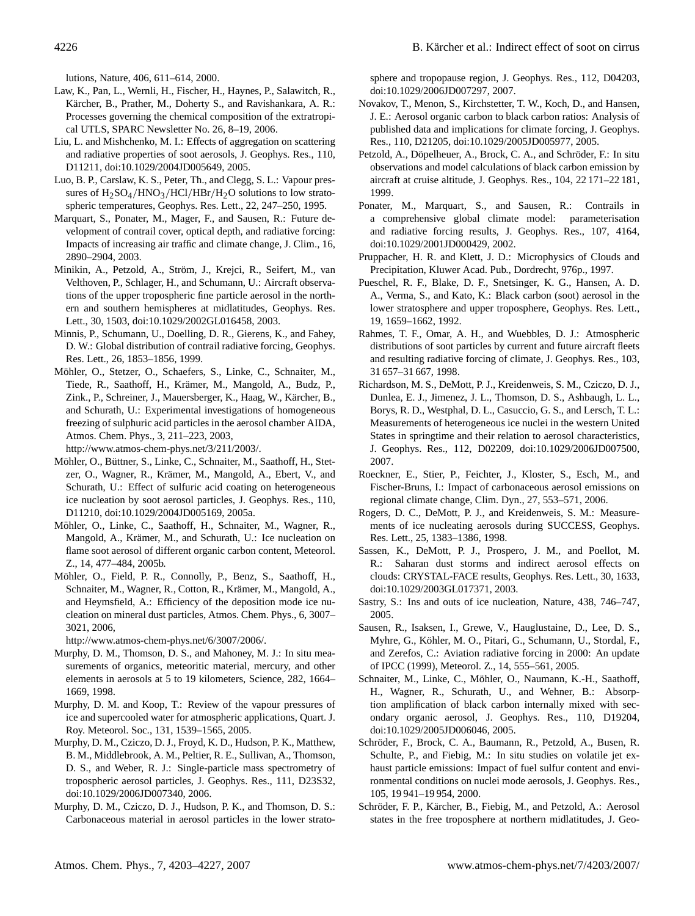lutions, Nature, 406, 611–614, 2000.

- <span id="page-23-12"></span>Law, K., Pan, L., Wernli, H., Fischer, H., Haynes, P., Salawitch, R., Kärcher, B., Prather, M., Doherty S., and Ravishankara, A. R.: Processes governing the chemical composition of the extratropical UTLS, SPARC Newsletter No. 26, 8–19, 2006.
- <span id="page-23-1"></span>Liu, L. and Mishchenko, M. I.: Effects of aggregation on scattering and radiative properties of soot aerosols, J. Geophys. Res., 110, D11211, doi:10.1029/2004JD005649, 2005.
- <span id="page-23-16"></span>Luo, B. P., Carslaw, K. S., Peter, Th., and Clegg, S. L.: Vapour pressures of  $H_2SO_4/HNO_3/HCl/HBr/H_2O$  solutions to low stratospheric temperatures, Geophys. Res. Lett., 22, 247–250, 1995.
- <span id="page-23-8"></span>Marquart, S., Ponater, M., Mager, F., and Sausen, R.: Future development of contrail cover, optical depth, and radiative forcing: Impacts of increasing air traffic and climate change, J. Clim., 16, 2890–2904, 2003.
- <span id="page-23-14"></span>Minikin, A., Petzold, A., Ström, J., Krejci, R., Seifert, M., van Velthoven, P., Schlager, H., and Schumann, U.: Aircraft observations of the upper tropospheric fine particle aerosol in the northern and southern hemispheres at midlatitudes, Geophys. Res. Lett., 30, 1503, doi:10.1029/2002GL016458, 2003.
- <span id="page-23-6"></span>Minnis, P., Schumann, U., Doelling, D. R., Gierens, K., and Fahey, D. W.: Global distribution of contrail radiative forcing, Geophys. Res. Lett., 26, 1853–1856, 1999.
- <span id="page-23-28"></span>Möhler, O., Stetzer, O., Schaefers, S., Linke, C., Schnaiter, M., Tiede, R., Saathoff, H., Krämer, M., Mangold, A., Budz, P., Zink., P., Schreiner, J., Mauersberger, K., Haag, W., Kärcher, B., and Schurath, U.: Experimental investigations of homogeneous freezing of sulphuric acid particles in the aerosol chamber AIDA, Atmos. Chem. Phys., 3, 211–223, 2003,

[http://www.atmos-chem-phys.net/3/211/2003/.](http://www.atmos-chem-phys.net/3/211/2003/)

- <span id="page-23-20"></span>Möhler, O., Büttner, S., Linke, C., Schnaiter, M., Saathoff, H., Stetzer, O., Wagner, R., Krämer, M., Mangold, A., Ebert, V., and Schurath, U.: Effect of sulfuric acid coating on heterogeneous ice nucleation by soot aerosol particles, J. Geophys. Res., 110, D11210, doi:10.1029/2004JD005169, 2005a.
- <span id="page-23-21"></span>Möhler, O., Linke, C., Saathoff, H., Schnaiter, M., Wagner, R., Mangold, A., Krämer, M., and Schurath, U.: Ice nucleation on flame soot aerosol of different organic carbon content, Meteorol. Z., 14, 477–484, 2005b.
- <span id="page-23-25"></span>Möhler, O., Field, P. R., Connolly, P., Benz, S., Saathoff, H., Schnaiter, M., Wagner, R., Cotton, R., Krämer, M., Mangold, A., and Heymsfield, A.: Efficiency of the deposition mode ice nucleation on mineral dust particles, Atmos. Chem. Phys., 6, 3007– 3021, 2006,

[http://www.atmos-chem-phys.net/6/3007/2006/.](http://www.atmos-chem-phys.net/6/3007/2006/)

- <span id="page-23-13"></span>Murphy, D. M., Thomson, D. S., and Mahoney, M. J.: In situ measurements of organics, meteoritic material, mercury, and other elements in aerosols at 5 to 19 kilometers, Science, 282, 1664– 1669, 1998.
- <span id="page-23-22"></span>Murphy, D. M. and Koop, T.: Review of the vapour pressures of ice and supercooled water for atmospheric applications, Quart. J. Roy. Meteorol. Soc., 131, 1539–1565, 2005.
- <span id="page-23-4"></span>Murphy, D. M., Cziczo, D. J., Froyd, K. D., Hudson, P. K., Matthew, B. M., Middlebrook, A. M., Peltier, R. E., Sullivan, A., Thomson, D. S., and Weber, R. J.: Single-particle mass spectrometry of tropospheric aerosol particles, J. Geophys. Res., 111, D23S32, doi:10.1029/2006JD007340, 2006.
- <span id="page-23-5"></span>Murphy, D. M., Cziczo, D. J., Hudson, P. K., and Thomson, D. S.: Carbonaceous material in aerosol particles in the lower strato-

sphere and tropopause region, J. Geophys. Res., 112, D04203, doi:10.1029/2006JD007297, 2007.

- <span id="page-23-15"></span>Novakov, T., Menon, S., Kirchstetter, T. W., Koch, D., and Hansen, J. E.: Aerosol organic carbon to black carbon ratios: Analysis of published data and implications for climate forcing, J. Geophys. Res., 110, D21205, doi:10.1029/2005JD005977, 2005.
- <span id="page-23-10"></span>Petzold, A., Döpelheuer, A., Brock, C. A., and Schröder, F.: In situ observations and model calculations of black carbon emission by aircraft at cruise altitude, J. Geophys. Res., 104, 22 171–22 181, 1999.
- <span id="page-23-7"></span>Ponater, M., Marquart, S., and Sausen, R.: Contrails in a comprehensive global climate model: parameterisation and radiative forcing results, J. Geophys. Res., 107, 4164, doi:10.1029/2001JD000429, 2002.
- <span id="page-23-24"></span>Pruppacher, H. R. and Klett, J. D.: Microphysics of Clouds and Precipitation, Kluwer Acad. Pub., Dordrecht, 976p., 1997.
- <span id="page-23-0"></span>Pueschel, R. F., Blake, D. F., Snetsinger, K. G., Hansen, A. D. A., Verma, S., and Kato, K.: Black carbon (soot) aerosol in the lower stratosphere and upper troposphere, Geophys. Res. Lett., 19, 1659–1662, 1992.
- <span id="page-23-18"></span>Rahmes, T. F., Omar, A. H., and Wuebbles, D. J.: Atmospheric distributions of soot particles by current and future aircraft fleets and resulting radiative forcing of climate, J. Geophys. Res., 103, 31 657–31 667, 1998.
- <span id="page-23-27"></span>Richardson, M. S., DeMott, P. J., Kreidenweis, S. M., Cziczo, D. J., Dunlea, E. J., Jimenez, J. L., Thomson, D. S., Ashbaugh, L. L., Borys, R. D., Westphal, D. L., Casuccio, G. S., and Lersch, T. L.: Measurements of heterogeneous ice nuclei in the western United States in springtime and their relation to aerosol characteristics, J. Geophys. Res., 112, D02209, doi:10.1029/2006JD007500, 2007.
- <span id="page-23-3"></span>Roeckner, E., Stier, P., Feichter, J., Kloster, S., Esch, M., and Fischer-Bruns, I.: Impact of carbonaceous aerosol emissions on regional climate change, Clim. Dyn., 27, 553–571, 2006.
- <span id="page-23-19"></span>Rogers, D. C., DeMott, P. J., and Kreidenweis, S. M.: Measurements of ice nucleating aerosols during SUCCESS, Geophys. Res. Lett., 25, 1383–1386, 1998.
- <span id="page-23-26"></span>Sassen, K., DeMott, P. J., Prospero, J. M., and Poellot, M. R.: Saharan dust storms and indirect aerosol effects on clouds: CRYSTAL-FACE results, Geophys. Res. Lett., 30, 1633, doi:10.1029/2003GL017371, 2003.
- <span id="page-23-23"></span>Sastry, S.: Ins and outs of ice nucleation, Nature, 438, 746–747, 2005.
- <span id="page-23-9"></span>Sausen, R., Isaksen, I., Grewe, V., Hauglustaine, D., Lee, D. S., Myhre, G., Köhler, M. O., Pitari, G., Schumann, U., Stordal, F., and Zerefos, C.: Aviation radiative forcing in 2000: An update of IPCC (1999), Meteorol. Z., 14, 555–561, 2005.
- <span id="page-23-2"></span>Schnaiter, M., Linke, C., Möhler, O., Naumann, K.-H., Saathoff, H., Wagner, R., Schurath, U., and Wehner, B.: Absorption amplification of black carbon internally mixed with secondary organic aerosol, J. Geophys. Res., 110, D19204, doi:10.1029/2005JD006046, 2005.
- <span id="page-23-17"></span>Schröder, F., Brock, C. A., Baumann, R., Petzold, A., Busen, R. Schulte, P., and Fiebig, M.: In situ studies on volatile jet exhaust particle emissions: Impact of fuel sulfur content and environmental conditions on nuclei mode aerosols, J. Geophys. Res., 105, 19 941–19 954, 2000.
- <span id="page-23-11"></span>Schröder, F. P., Kärcher, B., Fiebig, M., and Petzold, A.: Aerosol states in the free troposphere at northern midlatitudes, J. Geo-